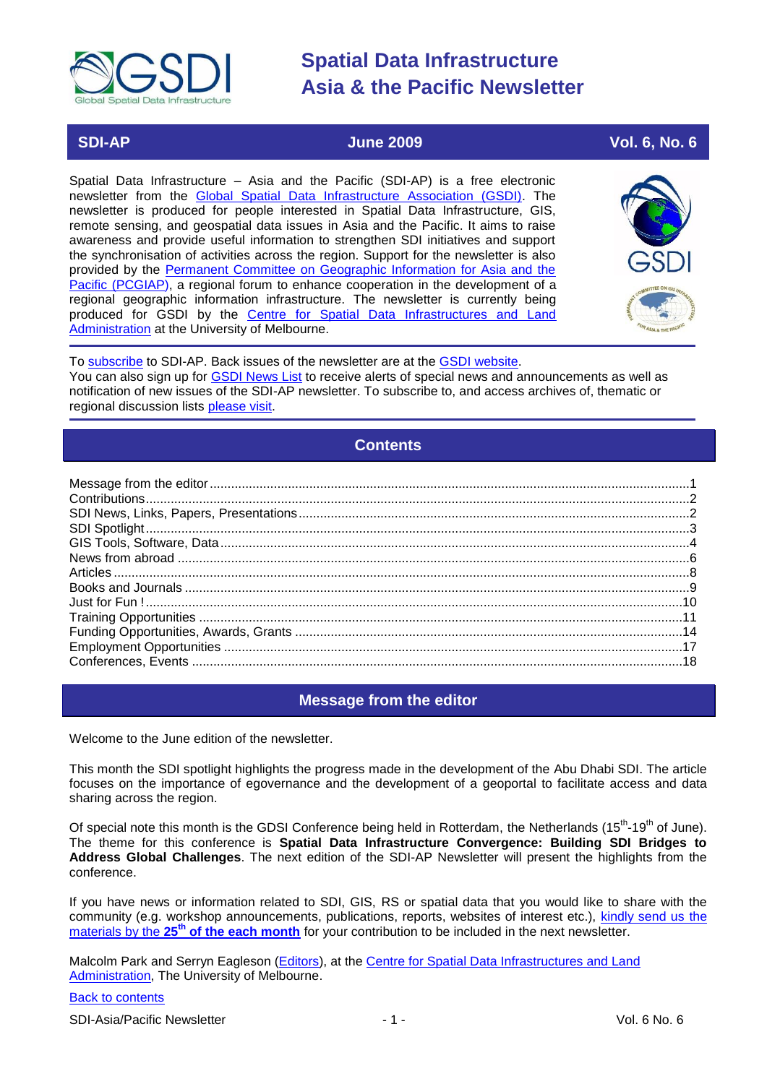<span id="page-0-2"></span>

### **SDI-AP June 2009 Vol. 6, No. 6**

Spatial Data Infrastructure – Asia and the Pacific (SDI-AP) is a free electronic newsletter from the [Global Spatial Data Infrastructure Association \(GSDI\).](http://www.gsdi.org/) The newsletter is produced for people interested in Spatial Data Infrastructure, GIS, remote sensing, and geospatial data issues in Asia and the Pacific. It aims to raise awareness and provide useful information to strengthen SDI initiatives and support the synchronisation of activities across the region. Support for the newsletter is also provided by the [Permanent Committee on Geographic Information for Asia and the](http://www.pcgiap.org/)  [Pacific \(PCGIAP\)](http://www.pcgiap.org/), a regional forum to enhance cooperation in the development of a regional geographic information infrastructure. The newsletter is currently being produced for GSDI by the [Centre for Spatial Data Infrastructures and Land](http://www.csdila.unimelb.edu.au/)  [Administration](http://www.csdila.unimelb.edu.au/) at the University of Melbourne.



To [subscribe](http://www.gsdi.org/newslist/gsdisubscribe.asp) to SDI-AP. Back issues of the newsletter are at the [GSDI website.](http://www.gsdi.org/newsletters.asp) You can also sign up for **GSDI News List** to receive alerts of special news and announcements as well as notification of new issues of the SDI-AP newsletter. To subscribe to, and access archives of, thematic or regional discussion lists [please visit.](http://www.gsdi.org/discussionlists.asp)

# **Contents**

<span id="page-0-1"></span>

### **Message from the editor**

<span id="page-0-0"></span>Welcome to the June edition of the newsletter.

This month the SDI spotlight highlights the progress made in the development of the Abu Dhabi SDI. The article focuses on the importance of egovernance and the development of a geoportal to facilitate access and data sharing across the region.

Of special note this month is the GDSI Conference being held in Rotterdam, the Netherlands (15<sup>th</sup>-19<sup>th</sup> of June). The theme for this conference is **Spatial Data Infrastructure Convergence: Building SDI Bridges to Address Global Challenges**. The next edition of the SDI-AP Newsletter will present the highlights from the conference.

If you have news or information related to SDI, GIS, RS or spatial data that you would like to share with the community (e.g. workshop announcements, publications, reports, websites of interest etc.), [kindly send us](mailto:sdi-ap@gsdi.org) the materials by the **25th [of the each month](mailto:sdi-ap@gsdi.org)** for your contribution to be included in the next newsletter.

Malcolm Park and Serryn Eagleson [\(Editors\)](mailto:Editor.SDIAP@gmail.com), at the [Centre for Spatial Data Infrastructures and Land](http://www.csdila.unimelb.edu.au/)  [Administration,](http://www.csdila.unimelb.edu.au/) The University of Melbourne.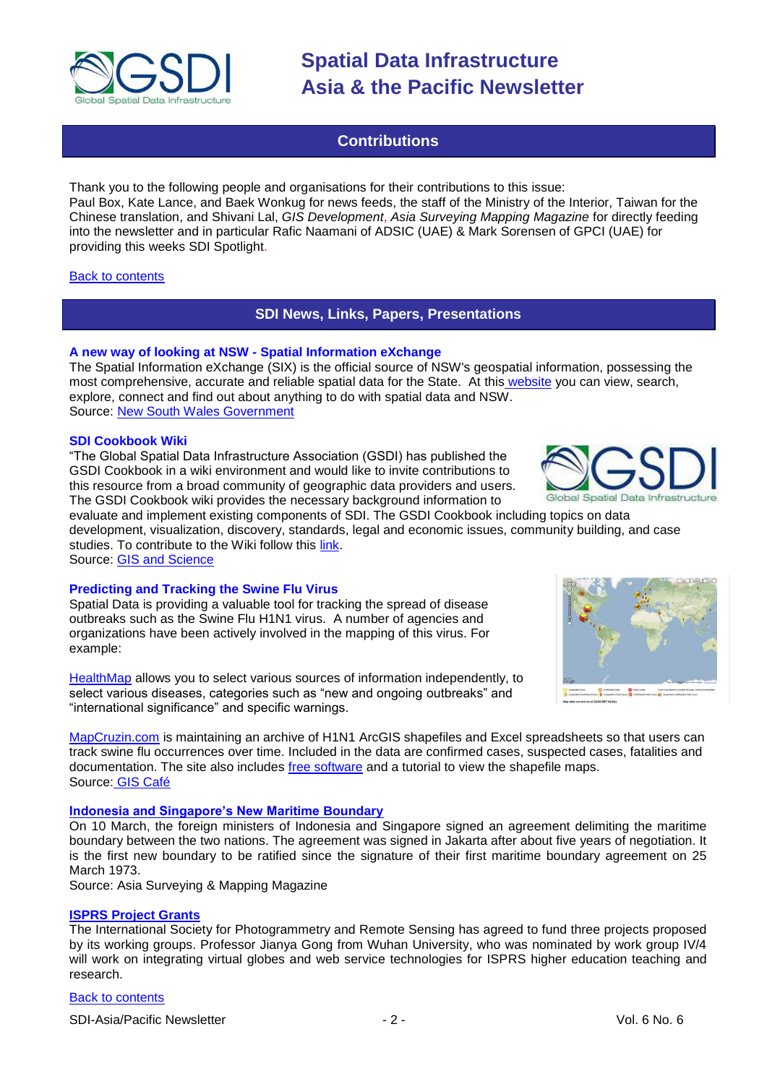

## **Contributions**

<span id="page-1-0"></span>Thank you to the following people and organisations for their contributions to this issue: Paul Box, Kate Lance, and Baek Wonkug for news feeds, the staff of the Ministry of the Interior, Taiwan for the Chinese translation, and Shivani Lal, *GIS Development*, *Asia Surveying Mapping Magazine* for directly feeding into the newsletter and in particular Rafic Naamani of ADSIC (UAE) & Mark Sorensen of GPCI (UAE) for providing this weeks SDI Spotlight.

#### <span id="page-1-1"></span>[Back to contents](#page-0-1)

### **SDI News, Links, Papers, Presentations**

#### **A new way of looking at NSW - Spatial Information eXchange**

The Spatial Information eXchange (SIX) is the official source of NSW's geospatial information, possessing the most comprehensive, accurate and reliable spatial data for the State. At this [website](http://www.six.nsw.gov.au/) you can view, search, explore, connect and find out about anything to do with spatial data and NSW. Source: [New South Wales Government](http://www.gcio.nsw.gov.au/news/a-new-way-of-looking-at-nsw-spatial-information-exchange) 

#### **SDI Cookbook Wiki**

―The Global Spatial Data Infrastructure Association (GSDI) has published the GSDI Cookbook in a wiki environment and would like to invite contributions to this resource from a broad community of geographic data providers and users. The GSDI Cookbook wiki provides the necessary background information to

evaluate and implement existing components of SDI. The GSDI Cookbook including topics on data development, visualization, discovery, standards, legal and economic issues, community building, and case studies. To contribute to the Wiki follow this [link.](http://www.gsdidocs.org/GSDIWiki/index.php?title=Main_Page)

Source: [GIS and Science](http://gisandscience.com/2009/05/04/contribute-to-the-global-spatial-data-infrastructure-cookbook-wiki/)

#### **Predicting and Tracking the Swine Flu Virus**

Spatial Data is providing a valuable tool for tracking the spread of disease outbreaks such as the Swine Flu H1N1 virus. A number of agencies and organizations have been actively involved in the mapping of this virus. For example:

[HealthMap](http://healthmap.org/en) allows you to select various sources of information independently, to select various diseases, categories such as "new and ongoing outbreaks" and "international significance" and specific warnings.

[MapCruzin.com](http://www.mapcruzin.com/) is maintaining an archive of H1N1 ArcGIS shapefiles and Excel spreadsheets so that users can track swine flu occurrences over time. Included in the data are confirmed cases, suspected cases, fatalities and documentation. The site also includes [free software](http://www.mapcruzin.com/free-download-h1n1-swine-flu-arcgis-shapefile.htm) and a tutorial to view the shapefile maps. Source: [GIS Café](http://www10.giscafe.com/nbc/articles/view_weekly.php?articleid=691481)

#### **[Indonesia and Singapore's New Maritime Boundary](http://www.asmmag.com/features/indonesia-and-singapore-s-new-maritime-boundary)**

On 10 March, the foreign ministers of Indonesia and Singapore signed an agreement delimiting the maritime boundary between the two nations. The agreement was signed in Jakarta after about five years of negotiation. It is the first new boundary to be ratified since the signature of their first maritime boundary agreement on 25 March 1973.

Source: Asia Surveying & Mapping Magazine

#### **[ISPRS Project Grants](http://www.asmmag.com/news/isprs-project-grants)**

The International Society for Photogrammetry and Remote Sensing has agreed to fund three projects proposed by its working groups. Professor Jianya Gong from Wuhan University, who was nominated by work group IV/4 will work on integrating virtual globes and web service technologies for ISPRS higher education teaching and research.

#### [Back to contents](#page-0-2)

SDI-Asia/Pacific Newsletter  $\sim$  2 - 2 - Vol. 6 No. 6



Global Spatial Data Infrastructur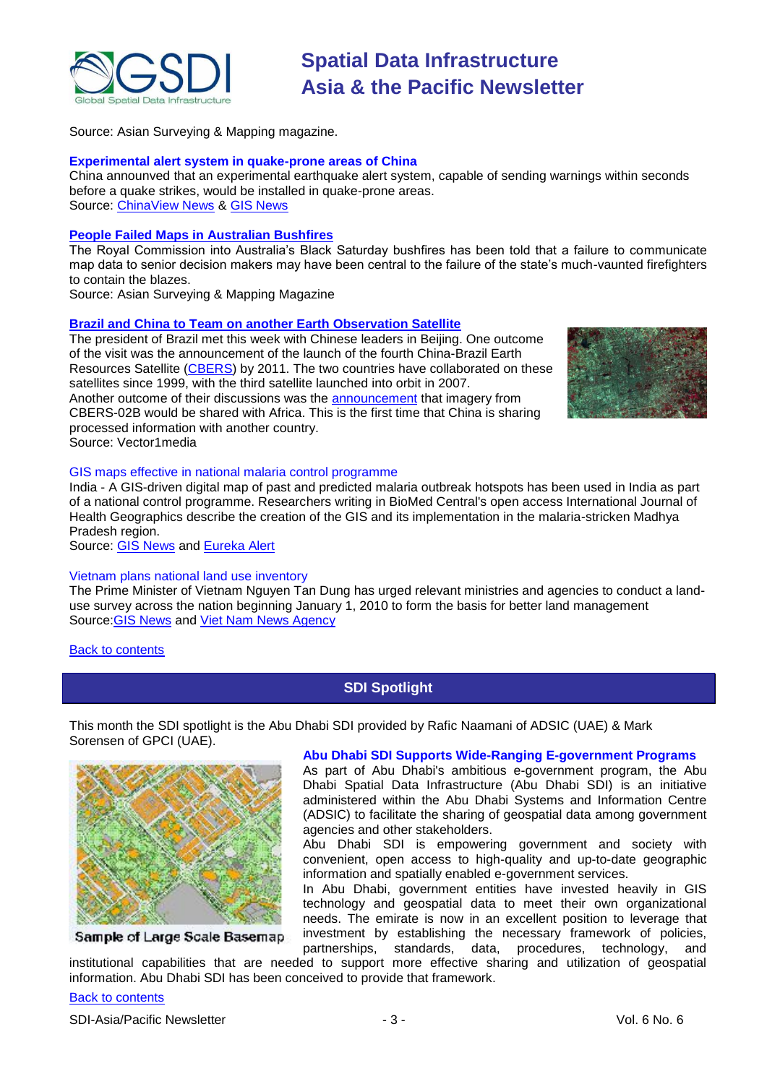

Source: Asian Surveying & Mapping magazine.

#### **Experimental alert system in quake-prone areas of China**

China announved that an experimental earthquake alert system, capable of sending warnings within seconds before a quake strikes, would be installed in quake-prone areas. Source: [ChinaView News](http://news.xinhuanet.com/english/2009-05/11/content_11353762.htm) & [GIS News](http://www.gisdevelopment.net/news/viewn.asp?id=GIS:N_chuyjmalbt&Ezine=may1809§ion=News)

#### **[People Failed Maps in Australian Bushfires](http://www.asmmag.com/news/people-failed-maps-in-australian-bushfires)**

The Royal Commission into Australia's Black Saturday bushfires has been told that a failure to communicate map data to senior decision makers may have been central to the failure of the state's much-vaunted firefighters to contain the blazes.

Source: Asian Surveying & Mapping Magazine

#### **[Brazil and China to Team on another Earth Observation Satellite](http://vector1media.com/spatialsustain/brazil-and-china-to-team-on-another-earth-observation-satellite.html)**

The president of Brazil met this week with Chinese leaders in Beijing. One outcome of the visit was the announcement of the launch of the fourth China-Brazil Earth Resources Satellite [\(CBERS\)](http://www.cbers.inpe.br/en/index_en.htm) by 2011. The two countries have collaborated on these satellites since 1999, with the third satellite launched into orbit in 2007. Another outcome of their discussions was the [announcement](http://news.xinhuanet.com/english/2009-05/20/content_11407388.htm) that imagery from CBERS-02B would be shared with Africa. This is the first time that China is sharing processed information with another country. Source: Vector1media



#### GIS maps effective in national malaria control programme

India - A GIS-driven digital map of past and predicted malaria outbreak hotspots has been used in India as part of a national control programme. Researchers writing in BioMed Central's open access International Journal of Health Geographics describe the creation of the GIS and its implementation in the malaria-stricken Madhya Pradesh region.

Source: [GIS News](http://www.gisdevelopment.net/news/viewn.asp?id=GIS:N_ekpjaqroyc&Ezine=may2509§ion=News) and [Eureka Alert](http://www.eurekalert.org/pub_releases/2009-05/bc-ema051809.php)

#### Vietnam plans national land use inventory

The Prime Minister of Vietnam Nguyen Tan Dung has urged relevant ministries and agencies to conduct a landuse survey across the nation beginning January 1, 2010 to form the basis for better land management Source[:GIS News](http://www.gisdevelopment.net/news/viewn.asp?id=GIS:N_luoidrftsz&Ezine=may2509§ion=News) and [Viet Nam News Agency](http://vietnamnews.vnagency.com.vn/showarticle.php?num=04SOC200509)

#### <span id="page-2-0"></span>[Back to contents](#page-0-1)

#### **SDI Spotlight**

This month the SDI spotlight is the Abu Dhabi SDI provided by Rafic Naamani of ADSIC (UAE) & Mark Sorensen of GPCI (UAE).



#### Sample of Large Scale Basemap

**Abu Dhabi SDI Supports Wide-Ranging E-government Programs** 

As part of Abu Dhabi's ambitious e-government program, the Abu Dhabi Spatial Data Infrastructure (Abu Dhabi SDI) is an initiative administered within the Abu Dhabi Systems and Information Centre (ADSIC) to facilitate the sharing of geospatial data among government agencies and other stakeholders.

Abu Dhabi SDI is empowering government and society with convenient, open access to high-quality and up-to-date geographic information and spatially enabled e-government services.

In Abu Dhabi, government entities have invested heavily in GIS technology and geospatial data to meet their own organizational needs. The emirate is now in an excellent position to leverage that investment by establishing the necessary framework of policies, partnerships, standards, data, procedures, technology, and

institutional capabilities that are needed to support more effective sharing and utilization of geospatial information. Abu Dhabi SDI has been conceived to provide that framework.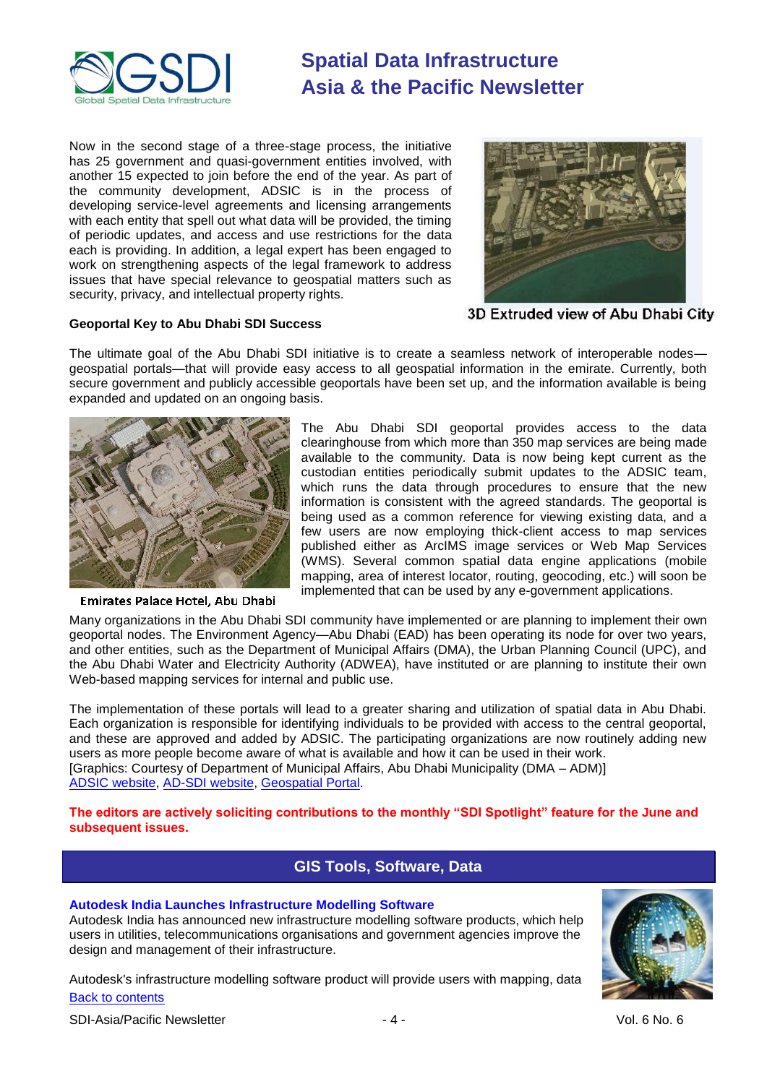

Now in the second stage of a three-stage process, the initiative has 25 government and quasi-government entities involved, with another 15 expected to join before the end of the year. As part of the community development, ADSIC is in the process of developing service-level agreements and licensing arrangements with each entity that spell out what data will be provided, the timing of periodic updates, and access and use restrictions for the data each is providing. In addition, a legal expert has been engaged to work on strengthening aspects of the legal framework to address issues that have special relevance to geospatial matters such as security, privacy, and intellectual property rights.



#### **Geoportal Key to Abu Dhabi SDI Success**

3D Extruded view of Abu Dhabi City

The ultimate goal of the Abu Dhabi SDI initiative is to create a seamless network of interoperable nodes geospatial portals—that will provide easy access to all geospatial information in the emirate. Currently, both secure government and publicly accessible geoportals have been set up, and the information available is being expanded and updated on an ongoing basis.



**Emirates Palace Hotel, Abu Dhabi** 

The Abu Dhabi SDI geoportal provides access to the data clearinghouse from which more than 350 map services are being made available to the community. Data is now being kept current as the custodian entities periodically submit updates to the ADSIC team, which runs the data through procedures to ensure that the new information is consistent with the agreed standards. The geoportal is being used as a common reference for viewing existing data, and a few users are now employing thick-client access to map services published either as ArcIMS image services or Web Map Services (WMS). Several common spatial data engine applications (mobile mapping, area of interest locator, routing, geocoding, etc.) will soon be implemented that can be used by any e-government applications.

Many organizations in the Abu Dhabi SDI community have implemented or are planning to implement their own geoportal nodes. The Environment Agency—Abu Dhabi (EAD) has been operating its node for over two years, and other entities, such as the Department of Municipal Affairs (DMA), the Urban Planning Council (UPC), and the Abu Dhabi Water and Electricity Authority (ADWEA), have instituted or are planning to institute their own Web-based mapping services for internal and public use.

The implementation of these portals will lead to a greater sharing and utilization of spatial data in Abu Dhabi. Each organization is responsible for identifying individuals to be provided with access to the central geoportal, and these are approved and added by ADSIC. The participating organizations are now routinely adding new users as more people become aware of what is available and how it can be used in their work. [Graphics: Courtesy of Department of Municipal Affairs, Abu Dhabi Municipality (DMA – ADM)] [ADSIC website,](http://www.adsic.abudhabi.ae/) [AD-SDI website,](http://www.sdi.abudhabi.ae/) [Geospatial Portal.](http://sdigeoportal.abudhabi.ae/Portal/)

<span id="page-3-0"></span>**The editors are actively soliciting contributions to the monthly "SDI Spotlight" feature for the June and subsequent issues.**

### **GIS Tools, Software, Data**

#### **Autodesk India Launches Infrastructure Modelling Software**

Autodesk India has announced new infrastructure modelling software products, which help users in utilities, telecommunications organisations and government agencies improve the design and management of their infrastructure.

[Back to contents](#page-0-2) Autodesk's infrastructure modelling software product will provide users with mapping, data



SDI-Asia/Pacific Newsletter  $\sim$  4 - 4 - Vol. 6 No. 6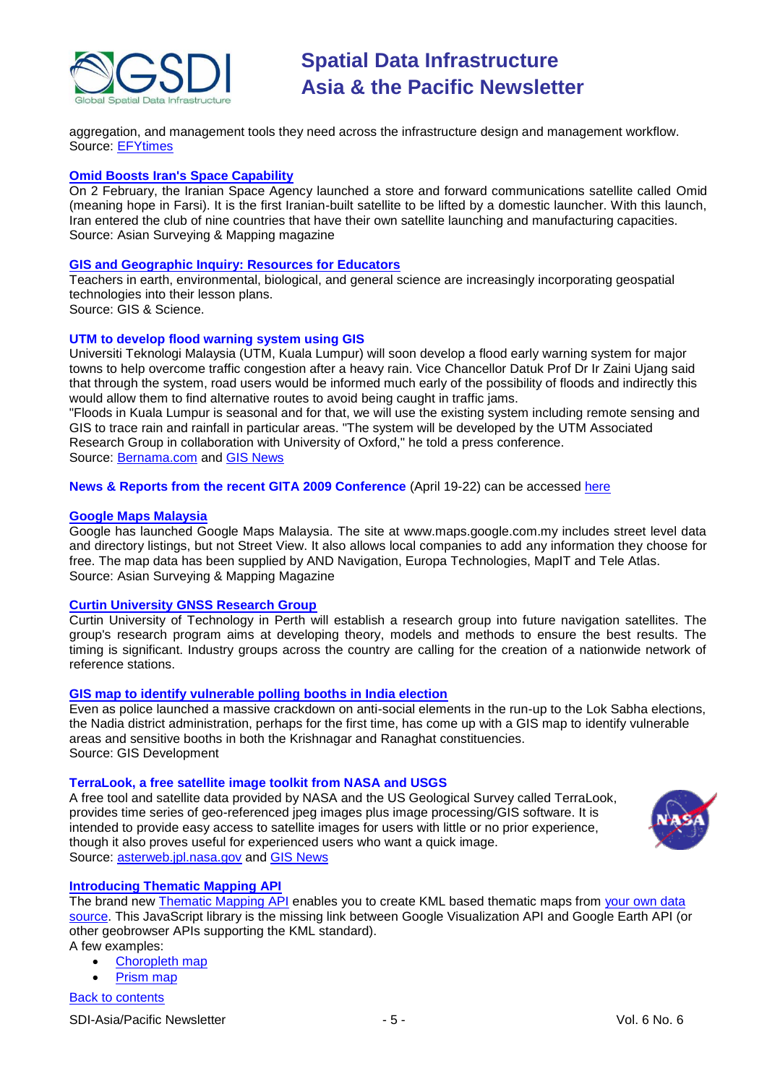

aggregation, and management tools they need across the infrastructure design and management workflow. Source: [EFYtimes](http://www.efytimes.com/efytimes/34784/news.htm)

#### **[Omid Boosts Iran's Space Capability](http://www.asmmag.com/features/omid-boosts-irans-space-capability)**

On 2 February, the Iranian Space Agency launched a store and forward communications satellite called Omid (meaning hope in Farsi). It is the first Iranian-built satellite to be lifted by a domestic launcher. With this launch, Iran entered the club of nine countries that have their own satellite launching and manufacturing capacities. Source: Asian Surveying & Mapping magazine

#### **[GIS and Geographic Inquiry: Resources for Educators](http://gisandscience.com/2009/04/30/gis-and-geographic-inquiry-resources-for-educators/)**

Teachers in earth, environmental, biological, and general science are increasingly incorporating geospatial technologies into their lesson plans.

Source: GIS & Science.

#### **UTM to develop flood warning system using GIS**

Universiti Teknologi Malaysia (UTM, Kuala Lumpur) will soon develop a flood early warning system for major towns to help overcome traffic congestion after a heavy rain. Vice Chancellor Datuk Prof Dr Ir Zaini Ujang said that through the system, road users would be informed much early of the possibility of floods and indirectly this would allow them to find alternative routes to avoid being caught in traffic jams.

"Floods in Kuala Lumpur is seasonal and for that, we will use the existing system including remote sensing and GIS to trace rain and rainfall in particular areas. "The system will be developed by the UTM Associated Research Group in collaboration with University of Oxford," he told a press conference. Source: [Bernama.com](http://www.bernama.com/bernama/v5/newsindex.php?id=407528) and [GIS News](http://www.gisdevelopment.net/news/viewn.asp?id=GIS:N_vznljhbiwt&Ezine=may0409§ion=News)

**News & Reports from the recent GITA 2009 Conference** (April 19-22) can be accessed [here](http://www.directionsmedia.net/newsletters.archive/index.php?ID=1381)

#### **[Google Maps Malaysia](http://www.asmmag.com/news/google-maps-malaysia)**

Google has launched Google Maps Malaysia. The site at www.maps.google.com.my includes street level data and directory listings, but not Street View. It also allows local companies to add any information they choose for free. The map data has been supplied by AND Navigation, Europa Technologies, MapIT and Tele Atlas. Source: Asian Surveying & Mapping Magazine

#### **[Curtin University GNSS Research Group](http://www.asmmag.com/news/curtin-university-gnss-research-group)**

Curtin University of Technology in Perth will establish a research group into future navigation satellites. The group's research program aims at developing theory, models and methods to ensure the best results. The timing is significant. Industry groups across the country are calling for the creation of a nationwide network of reference stations.

#### **[GIS map to identify vulnerable polling booths in India election](http://www.gisdevelopment.net/news/viewn.asp?id=GIS:N_zkjnqdbfma&Ezine=may1109§ion=News)**

Even as police launched a massive crackdown on anti-social elements in the run-up to the Lok Sabha elections, the Nadia district administration, perhaps for the first time, has come up with a GIS map to identify vulnerable areas and sensitive booths in both the Krishnagar and Ranaghat constituencies. Source: GIS Development

#### **TerraLook, a free satellite image toolkit from NASA and USGS**

A free tool and satellite data provided by NASA and the US Geological Survey called TerraLook, provides time series of geo-referenced jpeg images plus image processing/GIS software. It is intended to provide easy access to satellite images for users with little or no prior experience, though it also proves useful for experienced users who want a quick image. Source: [asterweb.jpl.nasa.gov](http://asterweb.jpl.nasa.gov/) and [GIS News](http://www.gisdevelopment.net/news/viewn.asp?id=GIS:N_vublfoaxgy&Ezine=may1809§ion=News)



#### **[Introducing Thematic Mapping API](http://feedproxy.google.com/~r/thematicmapping/~3/_98EUMJ9LAE/introducing-thematic-mapping-api.html)**

The brand new **Thematic Mapping API** enables you to create KML based thematic maps from your own data [source.](http://code.google.com/apis/visualization/documentation/toolsgallery.html) This JavaScript library is the missing link between Google Visualization API and Google Earth API (or other geobrowser APIs supporting the KML standard).

A few examples:

- [Choropleth map](http://thematicmapping.org/api/choropleth.php)
- [Prism map](http://thematicmapping.org/api/prism.php)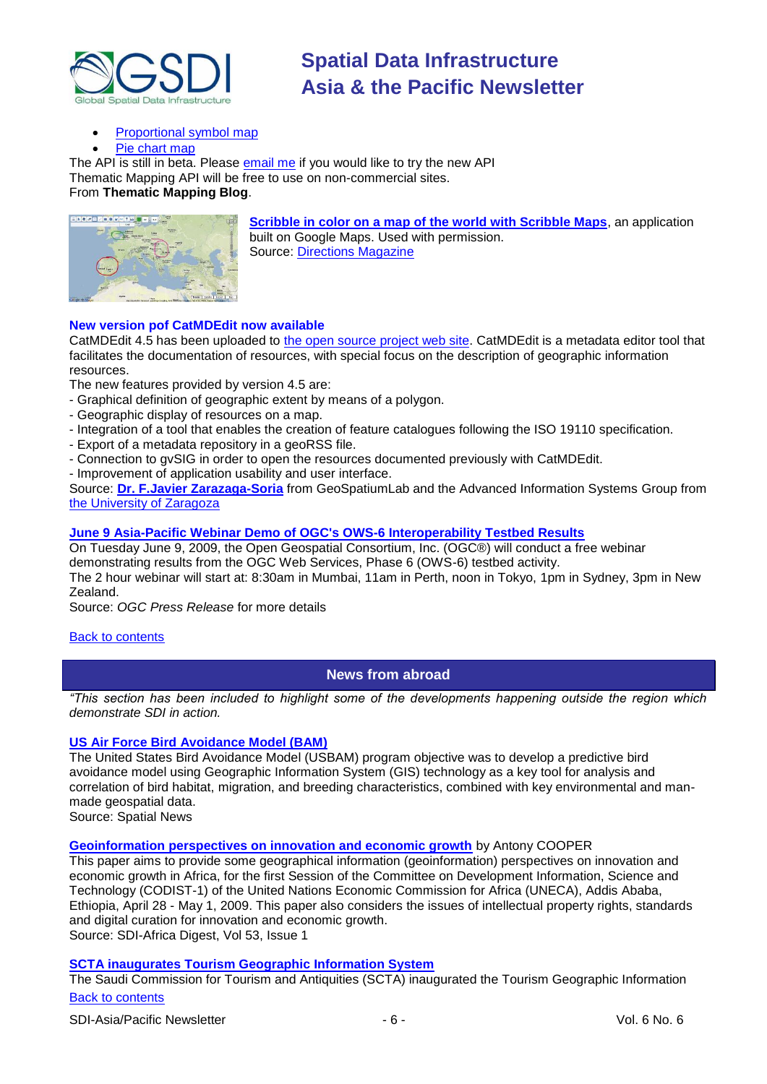

### [Proportional symbol map](http://thematicmapping.org/api/symbolimage.php)

[Pie chart map](http://thematicmapping.org/api/piechart.php)

The API is still in beta. Please [email me](mailto:bjorn@thematicmapping.org) if you would like to try the new API Thematic Mapping API will be free to use on non-commercial sites. From **Thematic Mapping Blog**.



**[Scribble in color on a map of the world with Scribble Maps](http://www.scribblemaps.com/)**, an application built on Google Maps. Used with permission. Source: [Directions Magazine](http://www.directionsmedia.net/newsletters.archive/index.php?ID=1403)

### **New version pof CatMDEdit now available**

CatMDEdit 4.5 has been uploaded to [the open source project web site.](http://catmdedit.sourceforge.net/) CatMDEdit is a metadata editor tool that facilitates the documentation of resources, with special focus on the description of geographic information resources.

The new features provided by version 4.5 are:

- Graphical definition of geographic extent by means of a polygon.
- Geographic display of resources on a map.
- Integration of a tool that enables the creation of feature catalogues following the ISO 19110 specification.
- Export of a metadata repository in a geoRSS file.
- Connection to gvSIG in order to open the resources documented previously with CatMDEdit.
- Improvement of application usability and user interface.

Source: **[Dr. F.Javier Zarazaga-Soria](mailto:javy@unizar.es)** from GeoSpatiumLab and the Advanced Information Systems Group from [the University of Zaragoza](http://www.cps.unizar.es/~zarazaga)

#### **[June 9 Asia-Pacific Webinar Demo of OGC's OWS-6 Interoperability Testbed Results](http://www.opengeospatial.org/pressroom/pressreleases/1021)**

On Tuesday June 9, 2009, the Open Geospatial Consortium, Inc. (OGC®) will conduct a free webinar demonstrating results from the OGC Web Services, Phase 6 (OWS-6) testbed activity. The 2 hour webinar will start at: 8:30am in Mumbai, 11am in Perth, noon in Tokyo, 1pm in Sydney, 3pm in New Zealand.

Source: *OGC Press Release* for more details

#### <span id="page-5-0"></span>**[Back to contents](#page-0-1)**

### **News from abroad**

*"This section has been included to highlight some of the developments happening outside the region which demonstrate SDI in action.*

#### **[US Air Force Bird Avoidance Model \(BAM\)](http://spatialnews.geocomm.com/newsletter/2000/20/bam.html)**

The United States Bird Avoidance Model (USBAM) program objective was to develop a predictive bird avoidance model using Geographic Information System (GIS) technology as a key tool for analysis and correlation of bird habitat, migration, and breeding characteristics, combined with key environmental and manmade geospatial data.

Source: Spatial News

**[Geoinformation perspectives on innovation and economic growth](http://researchspace.csir.co.za/dspace/bitstream/10204/3323/1/Cooper_2009.pdf)** by Antony COOPER

This paper aims to provide some geographical information (geoinformation) perspectives on innovation and economic growth in Africa, for the first Session of the Committee on Development Information, Science and Technology (CODIST-1) of the United Nations Economic Commission for Africa (UNECA), Addis Ababa, Ethiopia, April 28 - May 1, 2009. This paper also considers the issues of intellectual property rights, standards and digital curation for innovation and economic growth. Source: SDI-Africa Digest, Vol 53, Issue 1

#### **[SCTA inaugurates Tourism Geographic Information System](http://www.scta.gov.sa/sites/english/news/Pages/005news-2-2-2009.aspx)**

[Back to contents](#page-0-2) The Saudi Commission for Tourism and Antiquities (SCTA) inaugurated the Tourism Geographic Information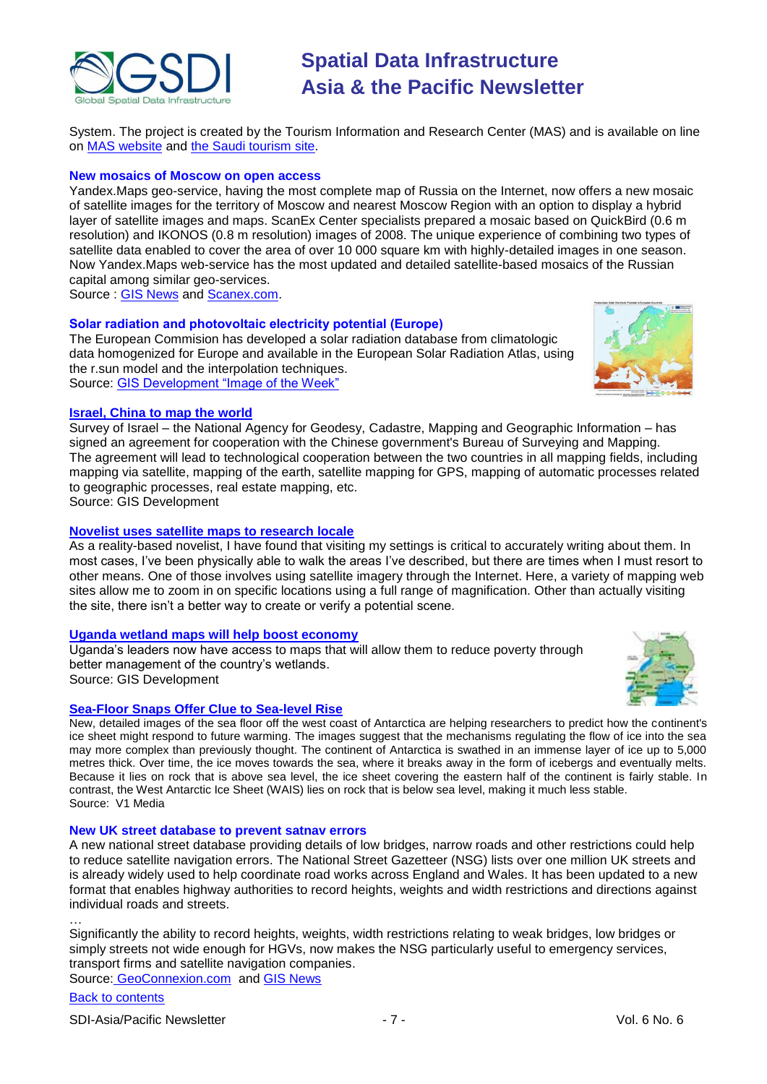

System. The project is created by the Tourism Information and Research Center (MAS) and is available on line on [MAS website](http://www.mas.gov.sa/) and [the Saudi tourism site.](http://www.sauditourism.com.sa/)

#### **New mosaics of Moscow on open access**

Yandex.Maps geo-service, having the most complete map of Russia on the Internet, now offers a new mosaic of satellite images for the territory of Moscow and nearest Moscow Region with an option to display a hybrid layer of satellite images and maps. ScanEx Center specialists prepared a mosaic based on QuickBird (0.6 m resolution) and IKONOS (0.8 m resolution) images of 2008. The unique experience of combining two types of satellite data enabled to cover the area of over 10 000 square km with highly-detailed images in one season. Now Yandex.Maps web-service has the most updated and detailed satellite-based mosaics of the Russian capital among similar geo-services.

Source : [GIS News](http://www.gisdevelopment.net/news/viewn.asp?id=GIS:N_fzjivcektg) and [Scanex.com.](http://www.scanex.com/en/news/News_Preview.asp?id=n21113044)

#### **Solar radiation and photovoltaic electricity potential (Europe)**

The European Commision has developed a solar radiation database from climatologic data homogenized for Europe and available in the European Solar Radiation Atlas, using the r.sun model and the interpolation techniques. Source: GIS Development "Image of the Week"



Survey of Israel – the National Agency for Geodesy, Cadastre, Mapping and Geographic Information – has signed an agreement for cooperation with the Chinese government's Bureau of Surveying and Mapping. The agreement will lead to technological cooperation between the two countries in all mapping fields, including mapping via satellite, mapping of the earth, satellite mapping for GPS, mapping of automatic processes related to geographic processes, real estate mapping, etc.

Source: GIS Development

#### **[Novelist uses satellite maps to research locale](http://murderousmusings.blogspot.com/2009/05/location-location-location.html)**

As a reality-based novelist, I have found that visiting my settings is critical to accurately writing about them. In most cases, I've been physically able to walk the areas I've described, but there are times when I must resort to other means. One of those involves using satellite imagery through the Internet. Here, a variety of mapping web sites allow me to zoom in on specific locations using a full range of magnification. Other than actually visiting the site, there isn't a better way to create or verify a potential scene.

#### **[Uganda wetland maps will help boost economy](http://www.gisdevelopment.net/news/viewn.asp?id=GIS:N_oqwmurlzvj&Ezine=may1109§ion=News)**

Uganda's leaders now have access to maps that will allow them to reduce poverty through better management of the country's wetlands. Source: GIS Development

#### **[Sea-Floor Snaps Offer Clue to Sea-level Rise](http://www.vector1media.com/top-stories/corporate-news/sea%11floor-snaps-offer-clue-to-sea%11level-rise--/)**

New, detailed images of the sea floor off the west coast of Antarctica are helping researchers to predict how the continent's ice sheet might respond to future warming. The images suggest that the mechanisms regulating the flow of ice into the sea may more complex than previously thought. The continent of Antarctica is swathed in an immense layer of ice up to 5,000 metres thick. Over time, the ice moves towards the sea, where it breaks away in the form of icebergs and eventually melts. Because it lies on rock that is above sea level, the ice sheet covering the eastern half of the continent is fairly stable. In contrast, the West Antarctic Ice Sheet (WAIS) lies on rock that is below sea level, making it much less stable. Source: V1 Media

#### **New UK street database to prevent satnav errors**

A new national street database providing details of low bridges, narrow roads and other restrictions could help to reduce satellite navigation errors. The National Street Gazetteer (NSG) lists over one million UK streets and is already widely used to help coordinate road works across England and Wales. It has been updated to a new format that enables highway authorities to record heights, weights and width restrictions and directions against individual roads and streets.

… Significantly the ability to record heights, weights, width restrictions relating to weak bridges, low bridges or simply streets not wide enough for HGVs, now makes the NSG particularly useful to emergency services, transport firms and satellite navigation companies. Source: [GeoConnexion.com](http://tinyurl.com/owcfwt) and [GIS News](http://www.gisdevelopment.net/news/viewn.asp?id=GIS:N_zhjsuefqvc&Ezine=may1809§ion=News)



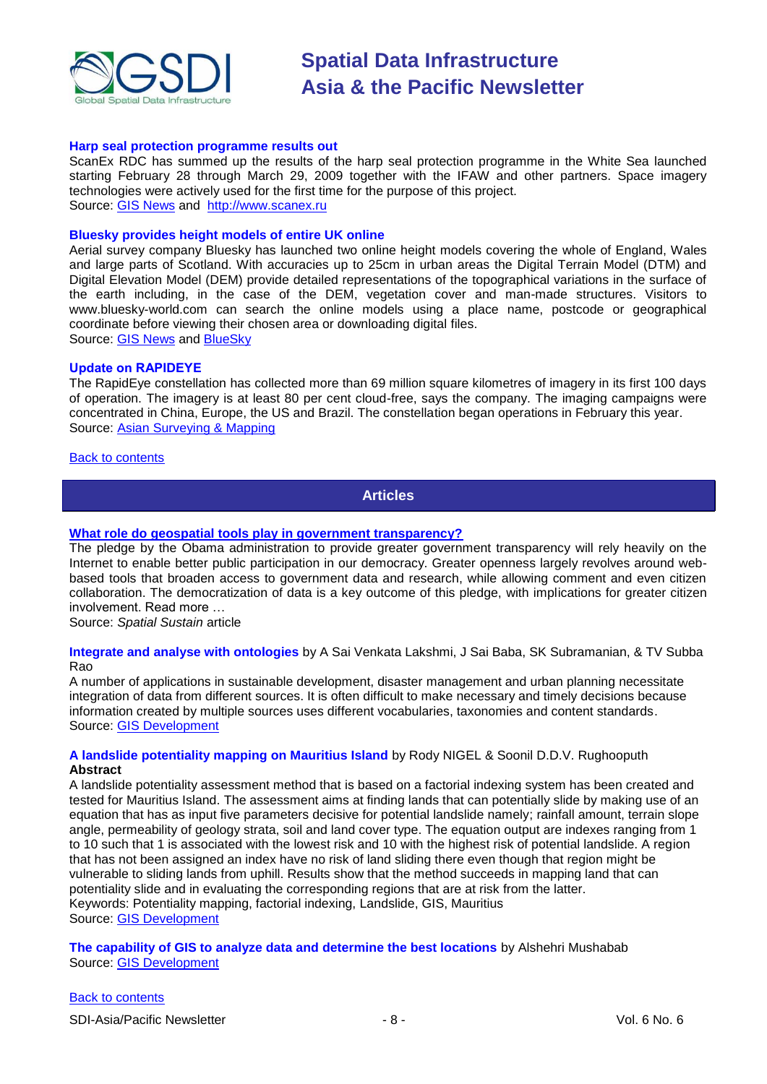

#### **Harp seal protection programme results out**

ScanEx RDC has summed up the results of the harp seal protection programme in the White Sea launched starting February 28 through March 29, 2009 together with the IFAW and other partners. Space imagery technologies were actively used for the first time for the purpose of this project. Source: [GIS News](http://www.gisdevelopment.net/news/viewn.asp?id=GIS:N_mvauiycjof&Ezine=may2509§ion=News) and [http://www.scanex.ru](http://www.scanex.ru/en/news/News_Preview.asp?id=n27163)

#### **Bluesky provides height models of entire UK online**

Aerial survey company Bluesky has launched two online height models covering the whole of England, Wales and large parts of Scotland. With accuracies up to 25cm in urban areas the Digital Terrain Model (DTM) and Digital Elevation Model (DEM) provide detailed representations of the topographical variations in the surface of the earth including, in the case of the DEM, vegetation cover and man-made structures. Visitors to www.bluesky-world.com can search the online models using a place name, postcode or geographical coordinate before viewing their chosen area or downloading digital files. Source: [GIS News](http://www.gisdevelopment.net/news/viewn.asp?id=GIS:N_qwdaxsvnmy&Ezine=may2509§ion=News) and [BlueSky](http://www.bluesky-world.com/products/height_data/)

#### **Update on RAPIDEYE**

The RapidEye constellation has collected more than 69 million square kilometres of imagery in its first 100 days of operation. The imagery is at least 80 per cent cloud-free, says the company. The imaging campaigns were concentrated in China, Europe, the US and Brazil. The constellation began operations in February this year. Source: [Asian Surveying & Mapping](http://www.asmmag.com/news)

#### <span id="page-7-0"></span>[Back to contents](#page-0-1)

**Articles**

#### **[What role do geospatial tools play in government transparency?](http://vector1media.com/spatialsustain/what-role-do-geospatial-tools-play-in-government-transparency.html)**

The pledge by the Obama administration to provide greater government transparency will rely heavily on the Internet to enable better public participation in our democracy. Greater openness largely revolves around webbased tools that broaden access to government data and research, while allowing comment and even citizen collaboration. The democratization of data is a key outcome of this pledge, with implications for greater citizen involvement. Read more …

Source: *Spatial Sustain* article

**Integrate and analyse with ontologies** by A Sai Venkata Lakshmi, J Sai Baba, SK Subramanian, & TV Subba Rao

A number of applications in sustainable development, disaster management and urban planning necessitate integration of data from different sources. It is often difficult to make necessary and timely decisions because information created by multiple sources uses different vocabularies, taxonomies and content standards. Source: [GIS Development](http://gisdevelopment.net/magazine/global/2009/april/48.htm)

#### **A landslide potentiality mapping on Mauritius Island** by Rody NIGEL & Soonil D.D.V. Rughooputh **Abstract**

A landslide potentiality assessment method that is based on a factorial indexing system has been created and tested for Mauritius Island. The assessment aims at finding lands that can potentially slide by making use of an equation that has as input five parameters decisive for potential landslide namely; rainfall amount, terrain slope angle, permeability of geology strata, soil and land cover type. The equation output are indexes ranging from 1 to 10 such that 1 is associated with the lowest risk and 10 with the highest risk of potential landslide. A region that has not been assigned an index have no risk of land sliding there even though that region might be vulnerable to sliding lands from uphill. Results show that the method succeeds in mapping land that can potentiality slide and in evaluating the corresponding regions that are at risk from the latter. Keywords: Potentiality mapping, factorial indexing, Landslide, GIS, Mauritius Source: [GIS Development](http://www.gisdevelopment.net/application/natural_hazards/landslides/mwf09_rody.htm)

**The capability of GIS to analyze data and determine the best locations** by Alshehri Mushabab Source: [GIS Development](http://www.gisdevelopment.net/application/urban/overview/mwf09_Alshehri.htm)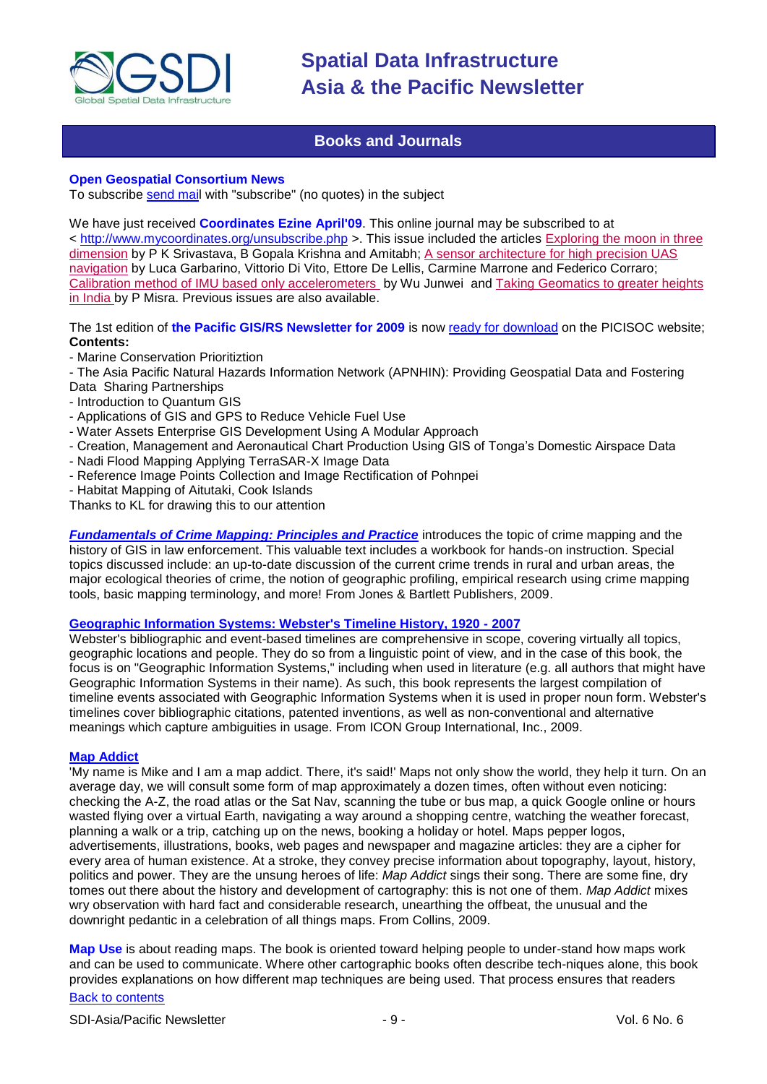

### **Books and Journals**

#### <span id="page-8-0"></span>**Open Geospatial Consortium News**

To subscribe [send mail](mailto:emailto:newsletter-request@lists.opengeospatial.org) with "subscribe" (no quotes) in the subject

We have just received **Coordinates Ezine April'09**. This online journal may be subscribed to at <<http://www.mycoordinates.org/unsubscribe.php> >. This issue included the articles [Exploring the moon in three](http://mycoordinates.co.in/phplist/lt.php?id=LB9XAQ4DAwUMGFdXTQMCUQMO)  [dimension](http://mycoordinates.co.in/phplist/lt.php?id=LB9XAQ4DAwUMGFdXTQMCUQMO) by P K Srivastava, B Gopala Krishna and Amitabh; [A sensor architecture for high precision UAS](http://mycoordinates.co.in/phplist/lt.php?id=LB9XAQ4DAwUNGFdXTQMCUQMO)  [navigation](http://mycoordinates.co.in/phplist/lt.php?id=LB9XAQ4DAwUNGFdXTQMCUQMO) by Luca Garbarino, Vittorio Di Vito, Ettore De Lellis, Carmine Marrone and Federico Corraro; [Calibration method of IMU based only accelerometers](http://mycoordinates.co.in/phplist/lt.php?id=LB9XAQ4D%21%0A+AwoEGFdXTQMCUQMO) by Wu Junwei and [Taking Geomatics to greater heights](http://mycoordinates.co.in/phplist/lt.php?id=LB9XAQ4DAwoGGFdXTQMCUQMO)  [in India b](http://mycoordinates.co.in/phplist/lt.php?id=LB9XAQ4DAwoGGFdXTQMCUQMO)y P Misra. Previous issues are also available.

The 1st edition of **the Pacific GIS/RS Newsletter for 2009** is now [ready for download](http://www.picisoc.org/tiki-download_file.php?fileId=128) on the PICISOC website; **Contents:**

- Marine Conservation Prioritiztion
- The Asia Pacific Natural Hazards Information Network (APNHIN): Providing Geospatial Data and Fostering Data Sharing Partnerships
- Introduction to Quantum GIS
- Applications of GIS and GPS to Reduce Vehicle Fuel Use
- Water Assets Enterprise GIS Development Using A Modular Approach
- Creation, Management and Aeronautical Chart Production Using GIS of Tonga's Domestic Airspace Data
- Nadi Flood Mapping Applying TerraSAR-X Image Data
- Reference Image Points Collection and Image Rectification of Pohnpei
- Habitat Mapping of Aitutaki, Cook Islands

Thanks to KL for drawing this to our attention

*[Fundamentals of Crime Mapping: Principles and Practice](http://newsletter.directionsmag.com/link.php?M=145624&N=1549&L=25383)* introduces the topic of crime mapping and the history of GIS in law enforcement. This valuable text includes a workbook for hands-on instruction. Special topics discussed include: an up-to-date discussion of the current crime trends in rural and urban areas, the major ecological theories of crime, the notion of geographic profiling, empirical research using crime mapping tools, basic mapping terminology, and more! From Jones & Bartlett Publishers, 2009.

#### **[Geographic Information Systems: Webster's Timeline History, 1920 -](http://www.amazon.com/exec/obidos/ASIN/B0026N7FA2/directionsm00-20) 2007**

Webster's bibliographic and event-based timelines are comprehensive in scope, covering virtually all topics, geographic locations and people. They do so from a linguistic point of view, and in the case of this book, the focus is on "Geographic Information Systems," including when used in literature (e.g. all authors that might have Geographic Information Systems in their name). As such, this book represents the largest compilation of timeline events associated with Geographic Information Systems when it is used in proper noun form. Webster's timelines cover bibliographic citations, patented inventions, as well as non-conventional and alternative meanings which capture ambiguities in usage. From ICON Group International, Inc., 2009.

#### **[Map Addict](http://www.amazon.com/exec/obidos/ASIN/0007300840/directionsm00-20)**

'My name is Mike and I am a map addict. There, it's said!' Maps not only show the world, they help it turn. On an average day, we will consult some form of map approximately a dozen times, often without even noticing: checking the A-Z, the road atlas or the Sat Nav, scanning the tube or bus map, a quick Google online or hours wasted flying over a virtual Earth, navigating a way around a shopping centre, watching the weather forecast, planning a walk or a trip, catching up on the news, booking a holiday or hotel. Maps pepper logos, advertisements, illustrations, books, web pages and newspaper and magazine articles: they are a cipher for every area of human existence. At a stroke, they convey precise information about topography, layout, history, politics and power. They are the unsung heroes of life: *Map Addict* sings their song. There are some fine, dry tomes out there about the history and development of cartography: this is not one of them. *Map Addict* mixes wry observation with hard fact and considerable research, unearthing the offbeat, the unusual and the downright pedantic in a celebration of all things maps. From Collins, 2009.

**Map Use** is about reading maps. The book is oriented toward helping people to under-stand how maps work and can be used to communicate. Where other cartographic books often describe tech-niques alone, this book provides explanations on how different map techniques are being used. That process ensures that readers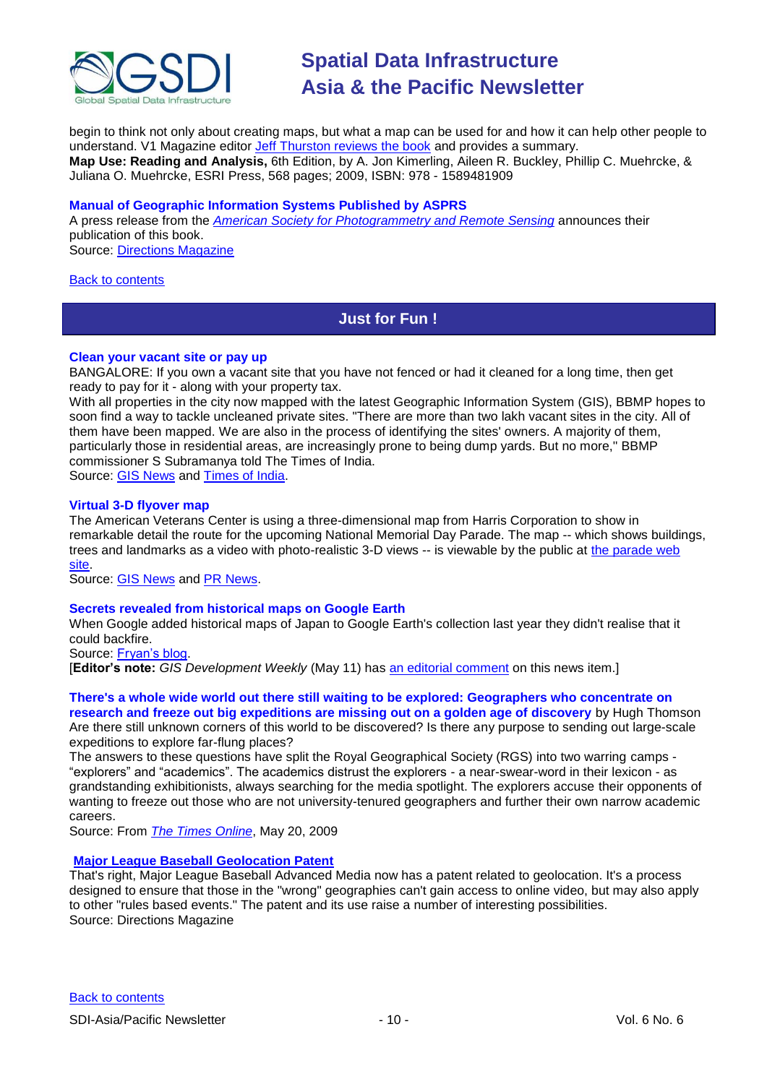

begin to think not only about creating maps, but what a map can be used for and how it can help other people to understand. V1 Magazine editor [Jeff Thurston reviews the book](http://www.vector1media.com/article/review/book-review%3a-map-use-%11-reading-and-analysis-/) and provides a summary. **Map Use: Reading and Analysis,** 6th Edition, by A. Jon Kimerling, Aileen R. Buckley, Phillip C. Muehrcke, & Juliana O. Muehrcke, ESRI Press, 568 pages; 2009, ISBN: 978 - 1589481909

#### **Manual of Geographic Information Systems Published by ASPRS**

A press release from the *[American Society for Photogrammetry and Remote Sensing](http://www.asprs.org/)* announces their publication of this book.

Source: [Directions Magazine](http://www.directionsmag.com/press.releases/?duty=Show&id=33239)

#### <span id="page-9-0"></span>[Back to contents](#page-0-1)

# **Just for Fun !**

#### **Clean your vacant site or pay up**

BANGALORE: If you own a vacant site that you have not fenced or had it cleaned for a long time, then get ready to pay for it - along with your property tax.

With all properties in the city now mapped with the latest Geographic Information System (GIS), BBMP hopes to soon find a way to tackle uncleaned private sites. "There are more than two lakh vacant sites in the city. All of them have been mapped. We are also in the process of identifying the sites' owners. A majority of them, particularly those in residential areas, are increasingly prone to being dump yards. But no more,'' BBMP commissioner S Subramanya told The Times of India. Source: [GIS News](http://www.gisdevelopment.net/news/viewn.asp?id=GIS:N_kdotgxbszl) and [Times of India.](http://tinyurl.com/op9bo3)

#### **Virtual 3-D flyover map**

The American Veterans Center is using a three-dimensional map from Harris Corporation to show in remarkable detail the route for the upcoming National Memorial Day Parade. The map -- which shows buildings, trees and landmarks as a video with photo-realistic 3-D views -- is viewable by the public at [the parade web](http://www.nationalmemorialdayparade.com/)  [site.](http://www.nationalmemorialdayparade.com/)

Source: [GIS News](http://www.gisdevelopment.net/news/viewn.asp?id=GIS:N_ktvnoqaycf) and [PR News.](http://tinyurl.com/ptjdwa)

#### **[Secrets revealed from historical maps on Google Earth](https://owa.unimelb.edu.au/exchweb/bin/redir.asp?URL=http://www.fryan0911.com/2009/05/secrets-revealed-from-historical-maps.html)**

When Google added historical maps of Japan to Google Earth's collection last year they didn't realise that it could backfire.

Source: [Fryan's blog.](http://www.fryan0911.com/2009/05/secrets-revealed-from-historical-maps.html)

[**Editor's note:** *GIS Development Weekly* (May 11) has [an editorial comment](http://www.gisdevelopment.net/ezine/weekly/may1109.htm) on this news item.]

#### **There's a whole wide world out there still waiting to be explored: Geographers who concentrate on**

**research and freeze out big expeditions are missing out on a golden age of discovery** by Hugh Thomson Are there still unknown corners of this world to be discovered? Is there any purpose to sending out large-scale expeditions to explore far-flung places?

The answers to these questions have split the Royal Geographical Society (RGS) into two warring camps - "explorers" and "academics". The academics distrust the explorers - a near-swear-word in their lexicon - as grandstanding exhibitionists, always searching for the media spotlight. The explorers accuse their opponents of wanting to freeze out those who are not university-tenured geographers and further their own narrow academic careers.

Source: From *[The Times Online](http://www.timesonline.co.uk/tol/comment/columnists/guest_contributors/article6322226.ece)*, May 20, 2009

#### **[Major League Baseball Geolocation Patent](http://newsletter.directionsmag.com/link.php?M=145624&N=1625&L=25853)**

That's right, Major League Baseball Advanced Media now has a patent related to geolocation. It's a process designed to ensure that those in the "wrong" geographies can't gain access to online video, but may also apply to other "rules based events." The patent and its use raise a number of interesting possibilities. Source: Directions Magazine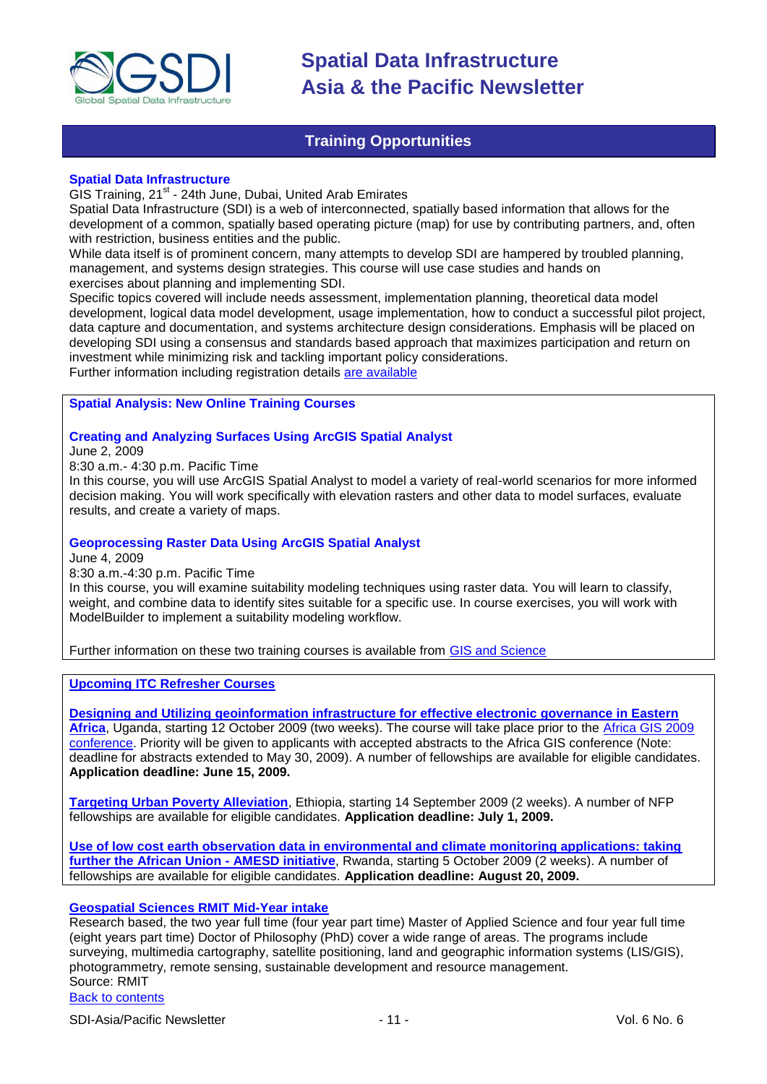

### **Training Opportunities**

#### <span id="page-10-0"></span>**Spatial Data Infrastructure**

GIS Training, 21<sup>st</sup> - 24th June, Dubai, United Arab Emirates

Spatial Data Infrastructure (SDI) is a web of interconnected, spatially based information that allows for the development of a common, spatially based operating picture (map) for use by contributing partners, and, often with restriction, business entities and the public.

While data itself is of prominent concern, many attempts to develop SDI are hampered by troubled planning, management, and systems design strategies. This course will use case studies and hands on exercises about planning and implementing SDI.

Specific topics covered will include needs assessment, implementation planning, theoretical data model development, logical data model development, usage implementation, how to conduct a successful pilot project, data capture and documentation, and systems architecture design considerations. Emphasis will be placed on developing SDI using a consensus and standards based approach that maximizes participation and return on investment while minimizing risk and tackling important policy considerations. Further information including registration details [are available](http://www.kavaq.com/index.php/events/event/spatial-data-infrastructure)

#### **Spatial Analysis: New Online Training Courses**

#### **Creating and Analyzing Surfaces Using ArcGIS Spatial Analyst**

June 2, 2009

8:30 a.m.- 4:30 p.m. Pacific Time

In this course, you will use ArcGIS Spatial Analyst to model a variety of real-world scenarios for more informed decision making. You will work specifically with elevation rasters and other data to model surfaces, evaluate results, and create a variety of maps.

#### **Geoprocessing Raster Data Using ArcGIS Spatial Analyst**

June 4, 2009

#### 8:30 a.m.-4:30 p.m. Pacific Time

In this course, you will examine suitability modeling techniques using raster data. You will learn to classify, weight, and combine data to identify sites suitable for a specific use. In course exercises, you will work with ModelBuilder to implement a suitability modeling workflow.

Further information on these two training courses is available from [GIS and Science](http://gisandscience.com/2009/05/07/spatial-analysis-new-online-training-courses/)

#### **[Upcoming ITC Refresher Courses](http://www.itc.nl/education/courses.aspx)**

**[Designing and Utilizing geoinformation infrastructure for effective electronic governance in Eastern](http://www.itc.nl/education/courses/course_descriptions/C09-PGM-RC-02.aspx)  [Africa](http://www.itc.nl/education/courses/course_descriptions/C09-PGM-RC-02.aspx)**, Uganda, starting 12 October 2009 (two weeks). The course will take place prior to the [Africa GIS 2009](http://www.africagis2009.org/)  [conference.](http://www.africagis2009.org/) Priority will be given to applicants with accepted abstracts to the Africa GIS conference (Note: deadline for abstracts extended to May 30, 2009). A number of fellowships are available for eligible candidates. **Application deadline: June 15, 2009.**

**[Targeting Urban Poverty Alleviation](http://www.itc.nl/education/courses/course_descriptions/C09-PGM-RC-04.aspx)**, Ethiopia, starting 14 September 2009 (2 weeks). A number of NFP fellowships are available for eligible candidates. **Application deadline: July 1, 2009.**

**[Use of low cost earth observation data in environmental and climate monitoring applications: taking](http://www.itc.nl/education/courses/course_descriptions/C09-WRS-RC-01.aspx)  [further the African Union -](http://www.itc.nl/education/courses/course_descriptions/C09-WRS-RC-01.aspx) AMESD initiative**, Rwanda, starting 5 October 2009 (2 weeks). A number of fellowships are available for eligible candidates. **Application deadline: August 20, 2009.**

#### **[Geospatial Sciences RMIT Mid-Year intake](http://www.rmit.com/browse;ID=tcb2mqwtdcyw)**

[Back to contents](#page-0-2) Research based, the two year full time (four year part time) Master of Applied Science and four year full time (eight years part time) Doctor of Philosophy (PhD) cover a wide range of areas. The programs include surveying, multimedia cartography, satellite positioning, land and geographic information systems (LIS/GIS), photogrammetry, remote sensing, sustainable development and resource management. Source: RMIT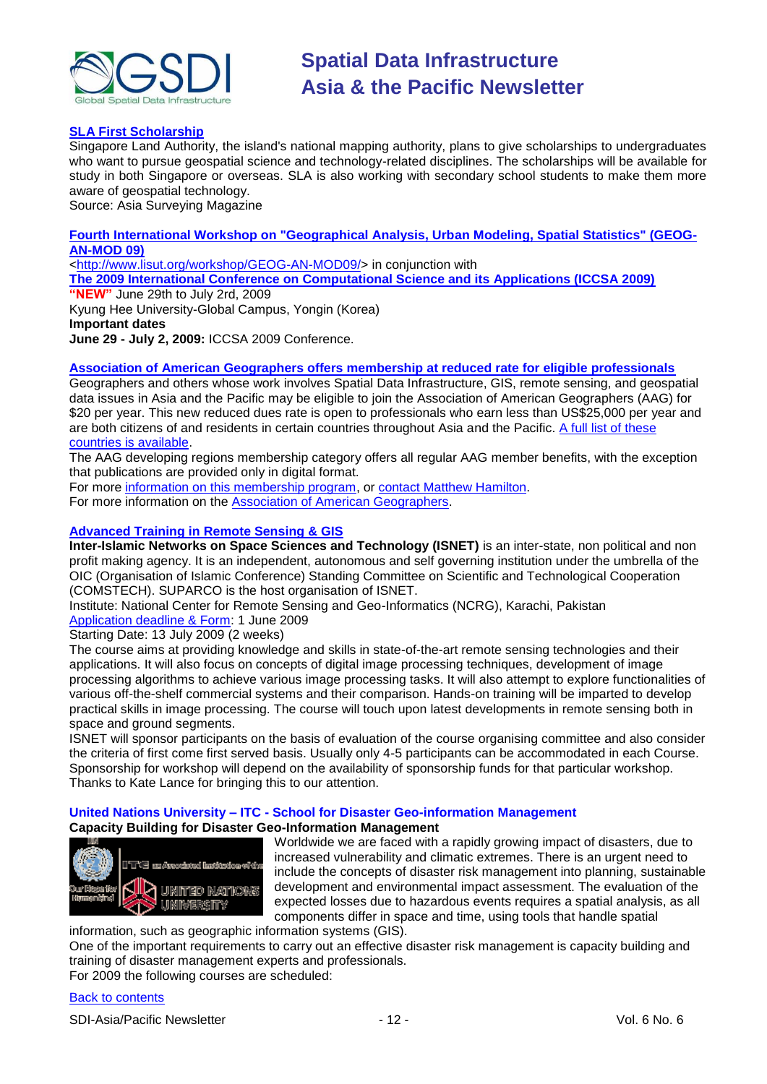

#### **[SLA First Scholarship](http://www.asmmag.com/news/sla-first-scholarship)**

Singapore Land Authority, the island's national mapping authority, plans to give scholarships to undergraduates who want to pursue geospatial science and technology-related disciplines. The scholarships will be available for study in both Singapore or overseas. SLA is also working with secondary school students to make them more aware of geospatial technology.

Source: Asia Surveying Magazine

**[Fourth International Workshop on "Geographical Analysis, Urban Modeling, Spatial Statistics" \(GEOG-](http://www.iccsa.org/)[AN-MOD 09\)](http://www.iccsa.org/)**

[<http://www.lisut.org/workshop/GEOG-AN-MOD09/>](http://www.lisut.org/workshop/GEOG-AN-MOD09/) in conjunction with

**[The 2009 International Conference on Computational Science and its Applications \(ICCSA 2009\)](http://www.iccsa.org/)**

**"NEW"** June 29th to July 2rd, 2009 Kyung Hee University-Global Campus, Yongin (Korea) **Important dates June 29 - July 2, 2009:** ICCSA 2009 Conference.

#### **[Association of American Geographers offers membership at reduced rate for eligible professionals](http://www.aag.org/developing/index.htm)** Geographers and others whose work involves Spatial Data Infrastructure, GIS, remote sensing, and geospatial

data issues in Asia and the Pacific may be eligible to join the Association of American Geographers (AAG) for \$20 per year. This new reduced dues rate is open to professionals who earn less than US\$25,000 per year and are both citizens of and residents in certain countries throughout Asia and the Pacific. [A full list of these](http://www.aag.org/developing/eligibility.htm)  [countries is available.](http://www.aag.org/developing/eligibility.htm)

The AAG developing regions membership category offers all regular AAG member benefits, with the exception that publications are provided only in digital format.

For more [information on this membership program,](http://www.aag.org/developing/index.htm) or [contact Matthew Hamilton.](mailto:mhamilton@aag.org)

For more information on the [Association of American Geographers.](http://www.aag.org/)

#### **[Advanced Training in Remote Sensing & GIS](http://www.isnet.org.pk/course02-09.htm)**

**Inter-Islamic Networks on Space Sciences and Technology (ISNET)** is an inter-state, non political and non profit making agency. It is an independent, autonomous and self governing institution under the umbrella of the OIC (Organisation of Islamic Conference) Standing Committee on Scientific and Technological Cooperation (COMSTECH). SUPARCO is the host organisation of ISNET.

Institute: National Center for Remote Sensing and Geo-Informatics (NCRG), Karachi, Pakistan [Application deadline & Form:](http://www.isnet.org.pk/Downloadables/form-courses-08.doc) 1 June 2009

Starting Date: 13 July 2009 (2 weeks)

The course aims at providing knowledge and skills in state-of-the-art remote sensing technologies and their applications. It will also focus on concepts of digital image processing techniques, development of image processing algorithms to achieve various image processing tasks. It will also attempt to explore functionalities of various off-the-shelf commercial systems and their comparison. Hands-on training will be imparted to develop practical skills in image processing. The course will touch upon latest developments in remote sensing both in space and ground segments.

ISNET will sponsor participants on the basis of evaluation of the course organising committee and also consider the criteria of first come first served basis. Usually only 4-5 participants can be accommodated in each Course. Sponsorship for workshop will depend on the availability of sponsorship funds for that particular workshop. Thanks to Kate Lance for bringing this to our attention.

#### **United Nations University – ITC - School for Disaster Geo-information Management Capacity Building for Disaster Geo-Information Management**



Worldwide we are faced with a rapidly growing impact of disasters, due to increased vulnerability and climatic extremes. There is an urgent need to include the concepts of disaster risk management into planning, sustainable development and environmental impact assessment. The evaluation of the expected losses due to hazardous events requires a spatial analysis, as all components differ in space and time, using tools that handle spatial

information, such as geographic information systems (GIS). One of the important requirements to carry out an effective disaster risk management is capacity building and training of disaster management experts and professionals. For 2009 the following courses are scheduled:

[Back to contents](#page-0-2)

SDI-Asia/Pacific Newsletter  $\sim$  12 - 12 - Vol. 6 No. 6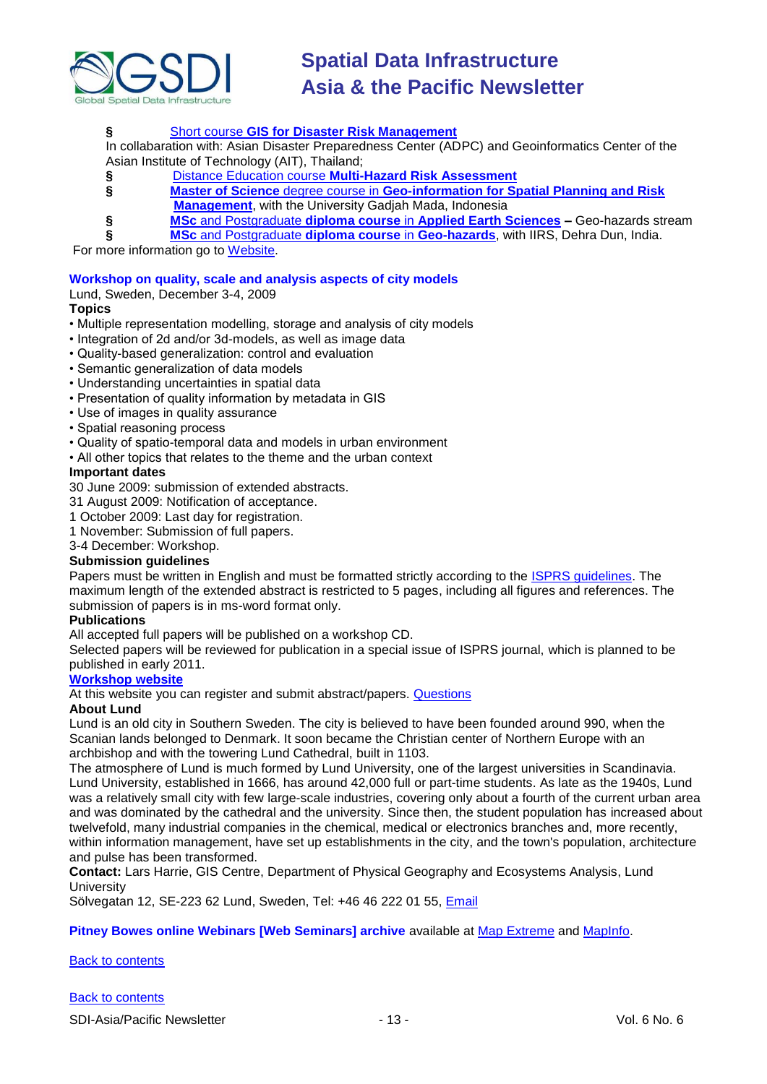

#### **§** Short course **[GIS for Disaster Risk Management](http://www.itc.nl/education/courses/course_descriptions/_pdf/C09-ESA-TM-01.pdf)**

In collabaration with: Asian Disaster Preparedness Center (ADPC) and Geoinformatics Center of the Asian Institute of Technology (AIT), Thailand;

- **§** Distance Education course **[Multi-Hazard Risk Assessment](http://www.itc.nl/education/courses/course_descriptions/C09-ESA-DED-01.aspx)**
- **§ Master of Science** degree course in **[Geo-information for Spatial Planning and Risk](http://www.itc.nl/education/courses/course_descriptions/_pdf/C08-AES-MSC-06.pdf)  [Management](http://www.itc.nl/education/courses/course_descriptions/_pdf/C08-AES-MSC-06.pdf)**, with the University Gadjah Mada, Indonesia
- **§ MSc** and Postgraduate **diploma course** in **[Applied Earth Sciences](http://www.itc.nl/education/courses/course_descriptions/C09-AES-MSc-01.aspx) –** Geo-hazards stream
	- **§ MSc** [and Postgraduate](http://www.iirs-nrsa.gov.in/msc_hra.pdf) **diploma course** in **Geo-hazards**, with IIRS, Dehra Dun, India.

For more information go to [Website.](http://www.itc.nl/unu/dgim/default.asp)

#### **Workshop on quality, scale and analysis aspects of city models**

Lund, Sweden, December 3-4, 2009

#### **Topics**

- Multiple representation modelling, storage and analysis of city models
- Integration of 2d and/or 3d-models, as well as image data
- Quality-based generalization: control and evaluation
- Semantic generalization of data models
- Understanding uncertainties in spatial data
- Presentation of quality information by metadata in GIS
- Use of images in quality assurance
- Spatial reasoning process
- Quality of spatio-temporal data and models in urban environment
- All other topics that relates to the theme and the urban context

#### **Important dates**

30 June 2009: submission of extended abstracts.

- 31 August 2009: Notification of acceptance.
- 1 October 2009: Last day for registration.
- 1 November: Submission of full papers.

3-4 December: Workshop.

#### **Submission guidelines**

Papers must be written in English and must be formatted strictly according to the **ISPRS** guidelines. The maximum length of the extended abstract is restricted to 5 pages, including all figures and references. The submission of papers is in ms-word format only.

#### **Publications**

All accepted full papers will be published on a workshop CD.

Selected papers will be reviewed for publication in a special issue of ISPRS journal, which is planned to be published in early 2011.

#### **[Workshop website](http://isprs.gis.lu.se/)**

At this website you can register and submit abstract/papers. [Questions](mailto:isprs@gis.lu.se)

#### **About Lund**

Lund is an old city in Southern Sweden. The city is believed to have been founded around 990, when the Scanian lands belonged to Denmark. It soon became the Christian center of Northern Europe with an archbishop and with the towering Lund Cathedral, built in 1103.

The atmosphere of Lund is much formed by Lund University, one of the largest universities in Scandinavia. Lund University, established in 1666, has around 42,000 full or part-time students. As late as the 1940s, Lund was a relatively small city with few large-scale industries, covering only about a fourth of the current urban area and was dominated by the cathedral and the university. Since then, the student population has increased about twelvefold, many industrial companies in the chemical, medical or electronics branches and, more recently, within information management, have set up establishments in the city, and the town's population, architecture and pulse has been transformed.

**Contact:** Lars Harrie, GIS Centre, Department of Physical Geography and Ecosystems Analysis, Lund **University** 

Sölvegatan 12, SE-223 62 Lund, Sweden, Tel: +46 46 222 01 55, [Email](mailto:isprs@gis.lu.se)

#### Pitney Bowes online Webinars [Web Seminars] archive available at [Map Extreme](http://gw.vtrenz.net/?MGOL99J0HK) and [MapInfo.](http://gw.vtrenz.net/?LDKMA6UIKP&webSyncID=612de8b1-1e74-9687-d7c1-c7eda52b01e9)

#### [Back to contents](#page-0-1)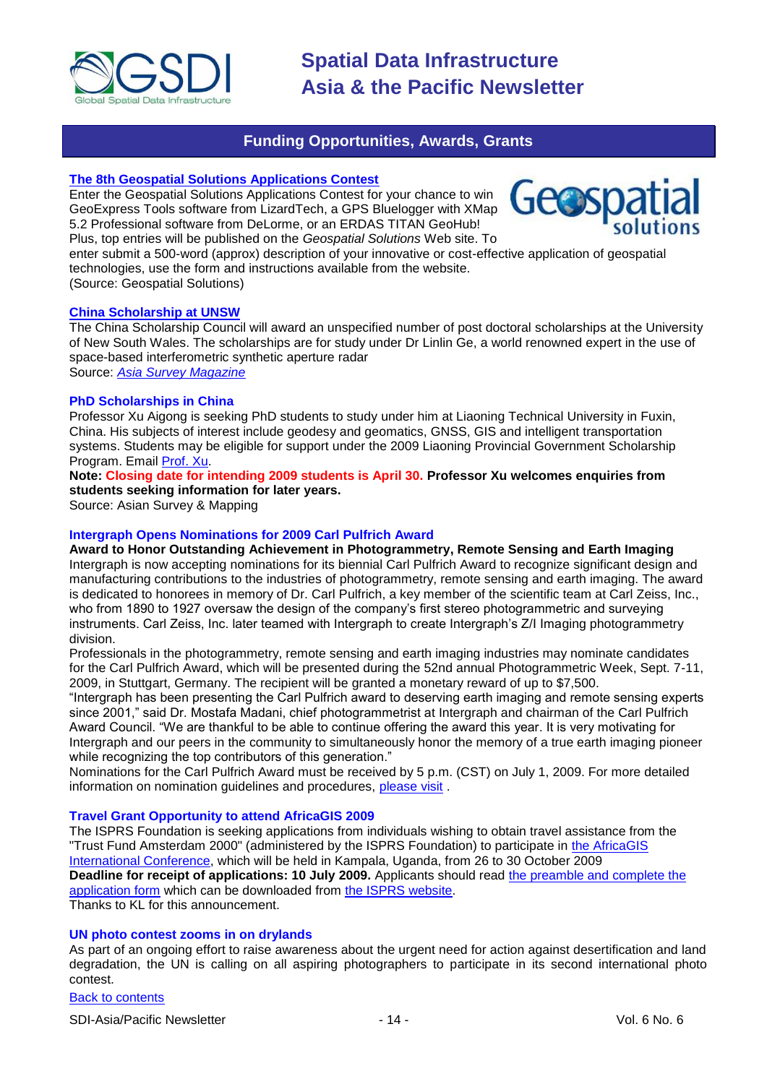

### **Funding Opportunities, Awards, Grants**

### <span id="page-13-0"></span>**[The 8th Geospatial Solutions Applications Contest](http://www.geospatial-solutions.com/applicationsContest)**

Enter the Geospatial Solutions Applications Contest for your chance to win GeoExpress Tools software from LizardTech, a GPS Bluelogger with XMap 5.2 Professional software from DeLorme, or an ERDAS TITAN GeoHub! Plus, top entries will be published on the *Geospatial Solutions* Web site. To



enter submit a 500-word (approx) description of your innovative or cost-effective application of geospatial technologies, use the form and instructions available from the website.

(Source: Geospatial Solutions)

#### **[China Scholarship at UNSW](http://www.asmmag.com/news/Professor%20linlin%20Ge%20scholoarship)**

The China Scholarship Council will award an unspecified number of post doctoral scholarships at the University of New South Wales. The scholarships are for study under Dr Linlin Ge, a world renowned expert in the use of space-based interferometric synthetic aperture radar Source: *[Asia Survey Magazine](http://www.asmmag.com/news/Professor%20linlin%20Ge%20scholoarship)*

#### **PhD Scholarships in China**

Professor Xu Aigong is seeking PhD students to study under him at Liaoning Technical University in Fuxin, China. His subjects of interest include geodesy and geomatics, GNSS, GIS and intelligent transportation systems. Students may be eligible for support under the 2009 Liaoning Provincial Government Scholarship Program. Email [Prof. Xu.](mailto:eagxu@ntu.edu.sg)

**Note: Closing date for intending 2009 students is April 30. Professor Xu welcomes enquiries from students seeking information for later years.**

Source: Asian Survey & Mapping

#### **Intergraph Opens Nominations for 2009 Carl Pulfrich Award**

**Award to Honor Outstanding Achievement in Photogrammetry, Remote Sensing and Earth Imaging**  Intergraph is now accepting nominations for its biennial Carl Pulfrich Award to recognize significant design and manufacturing contributions to the industries of photogrammetry, remote sensing and earth imaging. The award is dedicated to honorees in memory of Dr. Carl Pulfrich, a key member of the scientific team at Carl Zeiss, Inc., who from 1890 to 1927 oversaw the design of the company's first stereo photogrammetric and surveying instruments. Carl Zeiss, Inc. later teamed with Intergraph to create Intergraph's Z/I Imaging photogrammetry division.

Professionals in the photogrammetry, remote sensing and earth imaging industries may nominate candidates for the Carl Pulfrich Award, which will be presented during the 52nd annual Photogrammetric Week, Sept. 7-11, 2009, in Stuttgart, Germany. The recipient will be granted a monetary reward of up to \$7,500.

―Intergraph has been presenting the Carl Pulfrich award to deserving earth imaging and remote sensing experts since 2001," said Dr. Mostafa Madani, chief photogrammetrist at Intergraph and chairman of the Carl Pulfrich Award Council. "We are thankful to be able to continue offering the award this year. It is very motivating for Intergraph and our peers in the community to simultaneously honor the memory of a true earth imaging pioneer while recognizing the top contributors of this generation."

Nominations for the Carl Pulfrich Award must be received by 5 p.m. (CST) on July 1, 2009. For more detailed information on nomination guidelines and procedures, [please visit](http://www.intergraph.com/promo/carlpulfrichaward/) .

#### **Travel Grant Opportunity to attend AfricaGIS 2009**

The ISPRS Foundation is seeking applications from individuals wishing to obtain travel assistance from the "Trust Fund Amsterdam 2000" (administered by the ISPRS Foundation) to participate in [the AfricaGIS](http://www.africagis2009.org/)  [International Conference,](http://www.africagis2009.org/) which will be held in Kampala, Uganda, from 26 to 30 October 2009 **Deadline for receipt of applications: 10 July 2009.** Applicants should read [the preamble and complete the](http://www.isprs.org/foundation/PDF/TFA2000PreambleRequestAfricaGIS2009.pdf)  [application form](http://www.isprs.org/foundation/PDF/TFA2000PreambleRequestAfricaGIS2009.pdf) which can be downloaded from [the ISPRS website.](http://www.isprs.org/foundation/) Thanks to KL for this announcement.

#### **UN photo contest zooms in on drylands**

As part of an ongoing effort to raise awareness about the urgent need for action against desertification and land degradation, the UN is calling on all aspiring photographers to participate in its second international photo contest.

#### [Back to contents](#page-0-2)

SDI-Asia/Pacific Newsletter  $\sim$  14 - 14 - Vol. 6 No. 6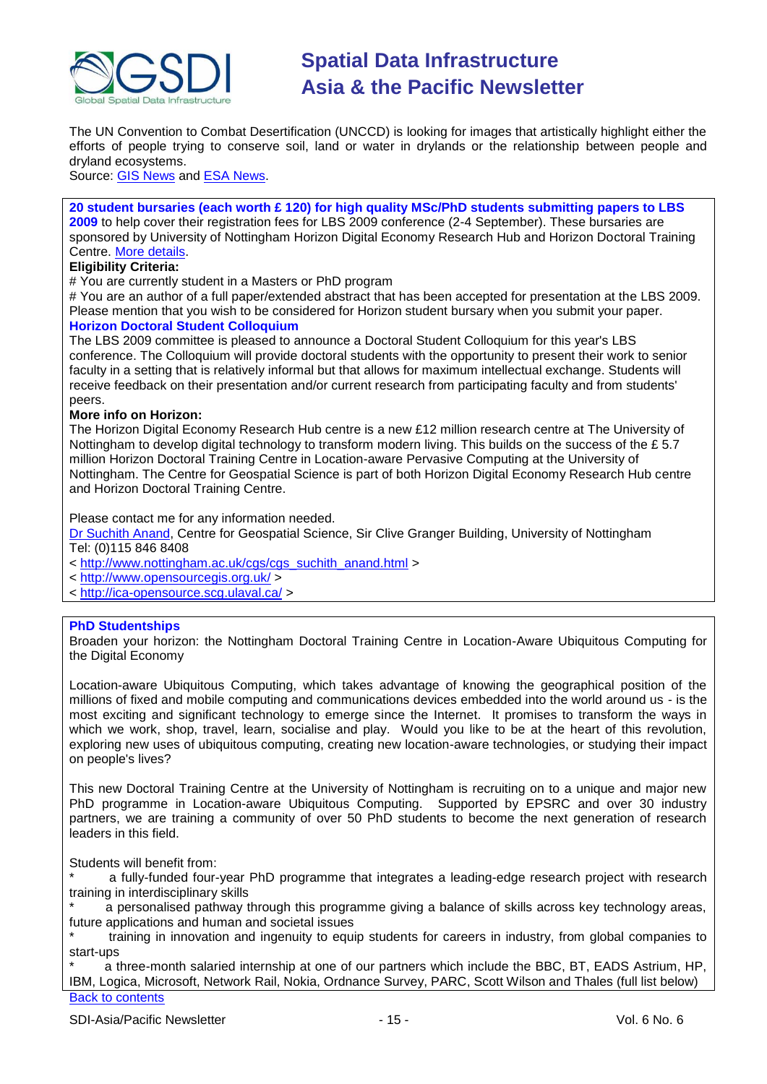

The UN Convention to Combat Desertification (UNCCD) is looking for images that artistically highlight either the efforts of people trying to conserve soil, land or water in drylands or the relationship between people and dryland ecosystems.

Source: [GIS News](http://www.gisdevelopment.net/news/viewn.asp?id=GIS:N_hdzpucsaeg) and [ESA News.](http://www.esa.int/esaCP/SEMKR5ANJTF_index_0.html)

**20 student bursaries (each worth £ 120) for high quality MSc/PhD students submitting papers to LBS 2009** to help cover their registration fees for LBS 2009 conference (2-4 September). These bursaries are sponsored by University of Nottingham Horizon Digital Economy Research Hub and Horizon Doctoral Training Centre. [More details.](http://www.lbs2009.org/)

#### **Eligibility Criteria:**

# You are currently student in a Masters or PhD program

# You are an author of a full paper/extended abstract that has been accepted for presentation at the LBS 2009. Please mention that you wish to be considered for Horizon student bursary when you submit your paper. **Horizon Doctoral Student Colloquium**

#### The LBS 2009 committee is pleased to announce a Doctoral Student Colloquium for this year's LBS conference. The Colloquium will provide doctoral students with the opportunity to present their work to senior faculty in a setting that is relatively informal but that allows for maximum intellectual exchange. Students will receive feedback on their presentation and/or current research from participating faculty and from students' peers.

#### **More info on Horizon:**

The Horizon Digital Economy Research Hub centre is a new £12 million research centre at The University of Nottingham to develop digital technology to transform modern living. This builds on the success of the £5.7 million Horizon Doctoral Training Centre in Location-aware Pervasive Computing at the University of Nottingham. The Centre for Geospatial Science is part of both Horizon Digital Economy Research Hub centre and Horizon Doctoral Training Centre.

Please contact me for any information needed.

[Dr Suchith Anand,](mailto:Suchith.Anand@nottingham.ac.uk) Centre for Geospatial Science, Sir Clive Granger Building, University of Nottingham Tel: (0)115 846 8408

- < [http://www.nottingham.ac.uk/cgs/cgs\\_suchith\\_anand.html](http://www.nottingham.ac.uk/cgs/cgs_suchith_anand.html) >
- <<http://www.opensourcegis.org.uk/> >
- <<http://ica-opensource.scg.ulaval.ca/> >

#### **PhD Studentships**

Broaden your horizon: the Nottingham Doctoral Training Centre in Location-Aware Ubiquitous Computing for the Digital Economy

Location-aware Ubiquitous Computing, which takes advantage of knowing the geographical position of the millions of fixed and mobile computing and communications devices embedded into the world around us - is the most exciting and significant technology to emerge since the Internet. It promises to transform the ways in which we work, shop, travel, learn, socialise and play. Would you like to be at the heart of this revolution, exploring new uses of ubiquitous computing, creating new location-aware technologies, or studying their impact on people's lives?

This new Doctoral Training Centre at the University of Nottingham is recruiting on to a unique and major new PhD programme in Location-aware Ubiquitous Computing. Supported by EPSRC and over 30 industry partners, we are training a community of over 50 PhD students to become the next generation of research leaders in this field.

Students will benefit from:

a fully-funded four-year PhD programme that integrates a leading-edge research project with research training in interdisciplinary skills

a personalised pathway through this programme giving a balance of skills across key technology areas, future applications and human and societal issues

training in innovation and ingenuity to equip students for careers in industry, from global companies to start-ups

[Back to contents](#page-0-2) a three-month salaried internship at one of our partners which include the BBC, BT, EADS Astrium, HP, IBM, Logica, Microsoft, Network Rail, Nokia, Ordnance Survey, PARC, Scott Wilson and Thales (full list below)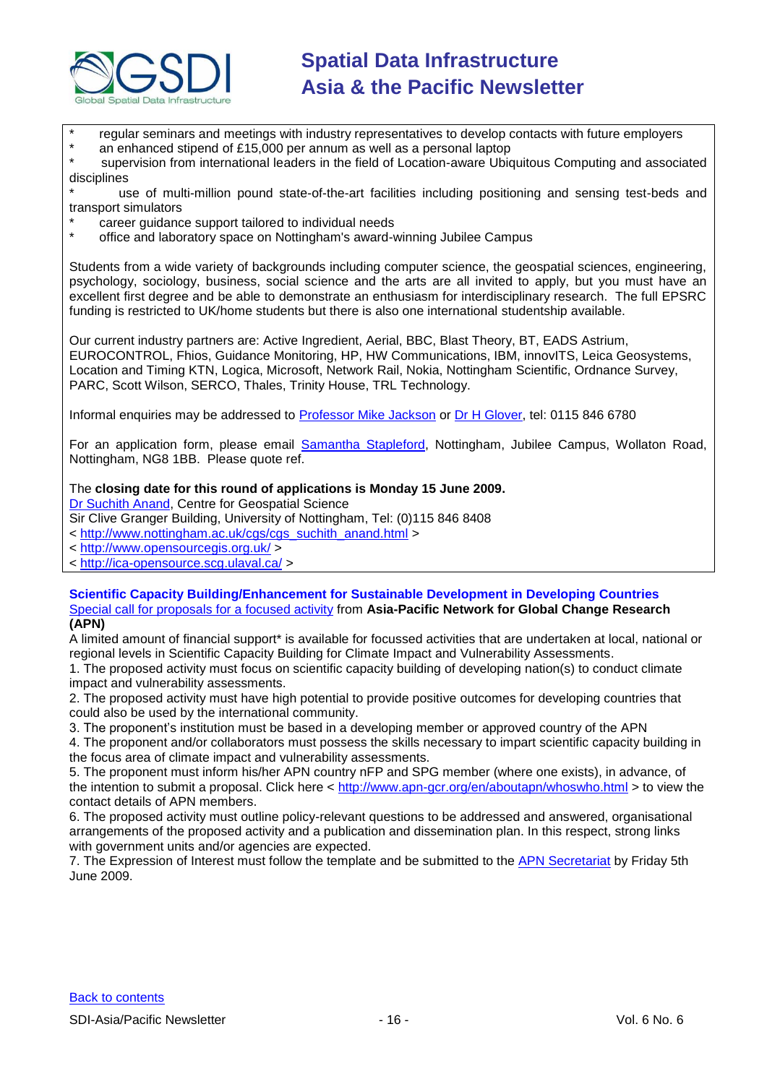

regular seminars and meetings with industry representatives to develop contacts with future employers

an enhanced stipend of £15,000 per annum as well as a personal laptop

supervision from international leaders in the field of Location-aware Ubiquitous Computing and associated disciplines

use of multi-million pound state-of-the-art facilities including positioning and sensing test-beds and transport simulators

- \* career guidance support tailored to individual needs
- office and laboratory space on Nottingham's award-winning Jubilee Campus

Students from a wide variety of backgrounds including computer science, the geospatial sciences, engineering, psychology, sociology, business, social science and the arts are all invited to apply, but you must have an excellent first degree and be able to demonstrate an enthusiasm for interdisciplinary research. The full EPSRC funding is restricted to UK/home students but there is also one international studentship available.

Our current industry partners are: Active Ingredient, Aerial, BBC, Blast Theory, BT, EADS Astrium, EUROCONTROL, Fhios, Guidance Monitoring, HP, HW Communications, IBM, innovITS, Leica Geosystems, Location and Timing KTN, Logica, Microsoft, Network Rail, Nokia, Nottingham Scientific, Ordnance Survey, PARC, Scott Wilson, SERCO, Thales, Trinity House, TRL Technology.

Informal enquiries may be addressed to [Professor Mike Jackson](mailto:Mike.Jackson@nottingham.ac.uk) or [Dr H Glover,](mailto:Hazel@cs.nott.ac.uk) tel: 0115 846 6780

For an application form, please email [Samantha Stapleford,](mailto:ssx@cs.nott.ac.uk) Nottingham, Jubilee Campus, Wollaton Road, Nottingham, NG8 1BB. Please quote ref.

### The **closing date for this round of applications is Monday 15 June 2009.**

[Dr Suchith Anand,](mailto:Suchith.Anand@nottingham.ac.uk) Centre for Geospatial Science

Sir Clive Granger Building, University of Nottingham, Tel: (0)115 846 8408

< [http://www.nottingham.ac.uk/cgs/cgs\\_suchith\\_anand.html](http://www.nottingham.ac.uk/cgs/cgs_suchith_anand.html) >

<<http://www.opensourcegis.org.uk/> >

<<http://ica-opensource.scg.ulaval.ca/> >

#### **Scientific Capacity Building/Enhancement for Sustainable Development in Developing Countries** [Special call for proposals for](http://www.apn-gcr.org/en/callforproposals/SpecialCall.html) a focused activity from **Asia-Pacific Network for Global Change Research (APN)**

A limited amount of financial support\* is available for focussed activities that are undertaken at local, national or regional levels in Scientific Capacity Building for Climate Impact and Vulnerability Assessments.

1. The proposed activity must focus on scientific capacity building of developing nation(s) to conduct climate impact and vulnerability assessments.

2. The proposed activity must have high potential to provide positive outcomes for developing countries that could also be used by the international community.

3. The proponent's institution must be based in a developing member or approved country of the APN

4. The proponent and/or collaborators must possess the skills necessary to impart scientific capacity building in the focus area of climate impact and vulnerability assessments.

5. The proponent must inform his/her APN country nFP and SPG member (where one exists), in advance, of the intention to submit a proposal. Click here <<http://www.apn-gcr.org/en/aboutapn/whoswho.html> > to view the contact details of APN members.

6. The proposed activity must outline policy-relevant questions to be addressed and answered, organisational arrangements of the proposed activity and a publication and dissemination plan. In this respect, strong links with government units and/or agencies are expected.

7. The Expression of Interest must follow the template and be submitted to the [APN Secretariat](mailto:lstevenson@apn-gcr.org) by Friday 5th June 2009.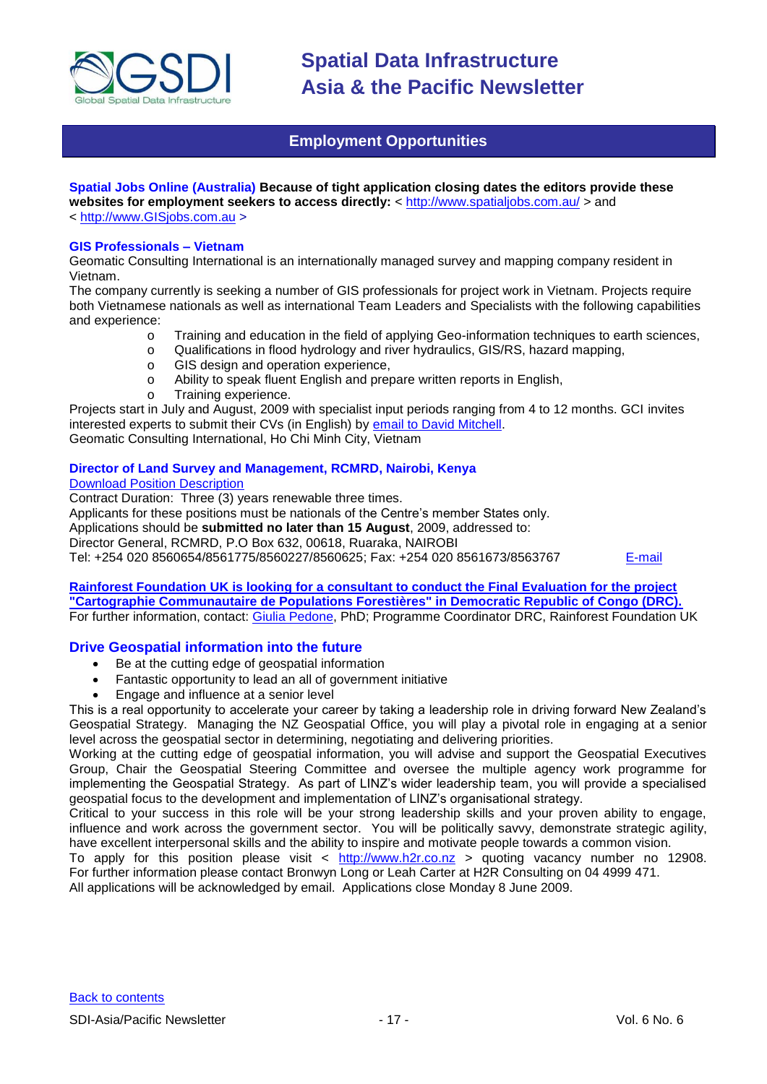

### **Employment Opportunities**

#### <span id="page-16-0"></span>**Spatial Jobs Online (Australia) Because of tight application closing dates the editors provide these websites for employment seekers to access directly:** <<http://www.spatialjobs.com.au/> > and

< [http://www.GISjobs.com.au](http://www.gisjobs.com.au/) >

#### **GIS Professionals – Vietnam**

Geomatic Consulting International is an internationally managed survey and mapping company resident in Vietnam.

The company currently is seeking a number of GIS professionals for project work in Vietnam. Projects require both Vietnamese nationals as well as international Team Leaders and Specialists with the following capabilities and experience:

- o Training and education in the field of applying Geo-information techniques to earth sciences,
- o Qualifications in flood hydrology and river hydraulics, GIS/RS, hazard mapping,
- o GIS design and operation experience,
- o Ability to speak fluent English and prepare written reports in English,
- o Training experience.

Projects start in July and August, 2009 with specialist input periods ranging from 4 to 12 months. GCI invites interested experts to submit their CVs (in English) by [email to David Mitchell.](mailto:davem@gci-int.com)

Geomatic Consulting International, Ho Chi Minh City, Vietnam

#### **Director of Land Survey and Management, RCMRD, Nairobi, Kenya**

#### [Download Position Description](http://www.rcmrd.org/files/RCMRD-Vac%20Annou.doc)

Contract Duration: Three (3) years renewable three times.

Applicants for these positions must be nationals of the Centre's member States only.

Applications should be **submitted no later than 15 August**, 2009, addressed to:

Director General, RCMRD, P.O Box 632, 00618, Ruaraka, NAIROBI

Tel: +254 020 8560654/8561775/8560227/8560625; Fax: +254 020 8561673/8563767 [E-mail](mailto:rcmrd@rcmrd.org)

#### **[Rainforest Foundation UK is looking for a consultant to conduct the Final Evaluation for the project](http://www.rainforestfoundationuk.org/)  ["Cartographie Communautaire de Populations Forestières" in Democratic Republic of Congo \(DRC\).](http://www.rainforestfoundationuk.org/)** For further information, contact: [Giulia Pedone,](mailto:giuliap@rainforestuk.com) PhD; Programme Coordinator DRC, Rainforest Foundation UK

### **Drive Geospatial information into the future**

- Be at the cutting edge of geospatial information
- Fantastic opportunity to lead an all of government initiative
- Engage and influence at a senior level

This is a real opportunity to accelerate your career by taking a leadership role in driving forward New Zealand's Geospatial Strategy. Managing the NZ Geospatial Office, you will play a pivotal role in engaging at a senior level across the geospatial sector in determining, negotiating and delivering priorities.

Working at the cutting edge of geospatial information, you will advise and support the Geospatial Executives Group, Chair the Geospatial Steering Committee and oversee the multiple agency work programme for implementing the Geospatial Strategy. As part of LINZ's wider leadership team, you will provide a specialised geospatial focus to the development and implementation of LINZ's organisational strategy.

Critical to your success in this role will be your strong leadership skills and your proven ability to engage, influence and work across the government sector. You will be politically savvy, demonstrate strategic agility, have excellent interpersonal skills and the ability to inspire and motivate people towards a common vision.

To apply for this position please visit <  $\frac{http://www.h2r.co.nz}{http://www.h2r.co.nz}$  $\frac{http://www.h2r.co.nz}{http://www.h2r.co.nz}$  $\frac{http://www.h2r.co.nz}{http://www.h2r.co.nz}$  auting vacancy number no 12908. For further information please contact Bronwyn Long or Leah Carter at H2R Consulting on 04 4999 471.

All applications will be acknowledged by email. Applications close Monday 8 June 2009.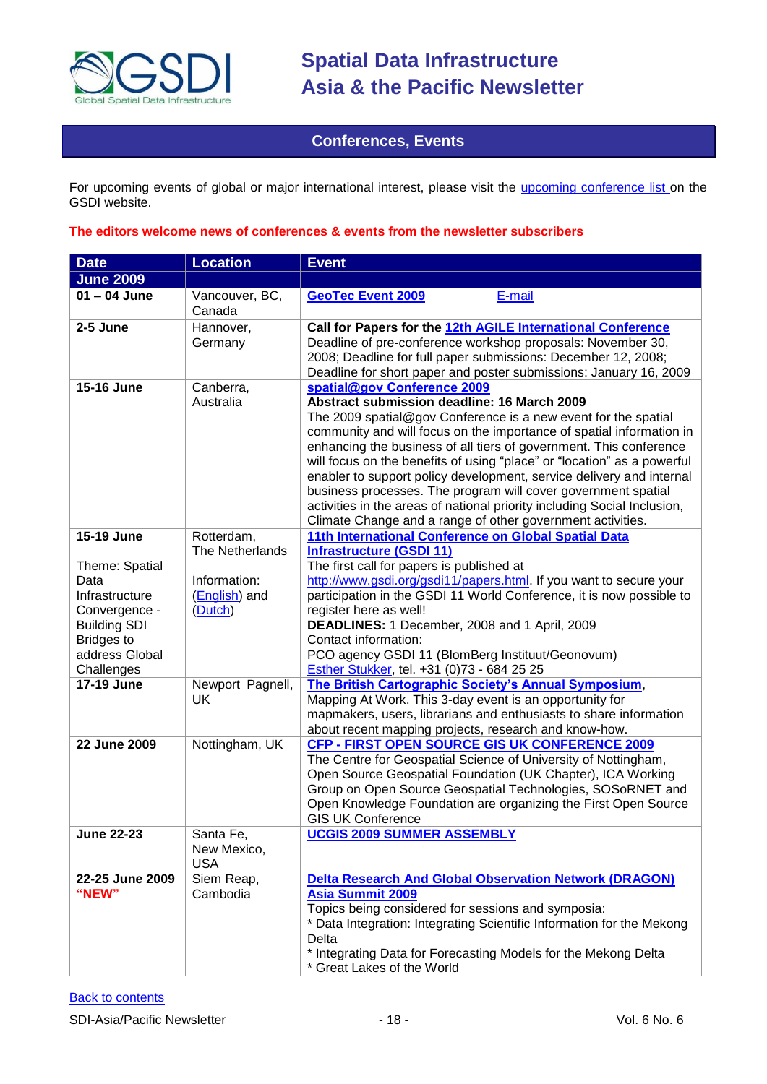

### **Conferences, Events**

<span id="page-17-0"></span>For upcoming events of global or major international interest, please visit the *upcoming conference list* on the GSDI website.

#### **The editors welcome news of conferences & events from the newsletter subscribers**

| <b>Date</b>                                                              | <b>Location</b>                          | <b>Event</b>                                                                                                                                                                                                                                                                                                                                                                                                                                                                                                                                                                                                                                             |
|--------------------------------------------------------------------------|------------------------------------------|----------------------------------------------------------------------------------------------------------------------------------------------------------------------------------------------------------------------------------------------------------------------------------------------------------------------------------------------------------------------------------------------------------------------------------------------------------------------------------------------------------------------------------------------------------------------------------------------------------------------------------------------------------|
| <b>June 2009</b>                                                         |                                          |                                                                                                                                                                                                                                                                                                                                                                                                                                                                                                                                                                                                                                                          |
| $01 - 04$ June                                                           | Vancouver, BC,<br>Canada                 | <b>GeoTec Event 2009</b><br>E-mail                                                                                                                                                                                                                                                                                                                                                                                                                                                                                                                                                                                                                       |
| 2-5 June                                                                 | Hannover,<br>Germany                     | Call for Papers for the 12th AGILE International Conference<br>Deadline of pre-conference workshop proposals: November 30,<br>2008; Deadline for full paper submissions: December 12, 2008;<br>Deadline for short paper and poster submissions: January 16, 2009                                                                                                                                                                                                                                                                                                                                                                                         |
| 15-16 June                                                               | Canberra,<br>Australia                   | spatial@gov Conference 2009<br>Abstract submission deadline: 16 March 2009<br>The 2009 spatial@gov Conference is a new event for the spatial<br>community and will focus on the importance of spatial information in<br>enhancing the business of all tiers of government. This conference<br>will focus on the benefits of using "place" or "location" as a powerful<br>enabler to support policy development, service delivery and internal<br>business processes. The program will cover government spatial<br>activities in the areas of national priority including Social Inclusion,<br>Climate Change and a range of other government activities. |
| 15-19 June                                                               | Rotterdam,<br>The Netherlands            | 11th International Conference on Global Spatial Data<br><b>Infrastructure (GSDI 11)</b><br>The first call for papers is published at                                                                                                                                                                                                                                                                                                                                                                                                                                                                                                                     |
| Theme: Spatial<br>Data<br>Infrastructure<br>Convergence -                | Information:<br>(English) and<br>(Dutch) | http://www.gsdi.org/gsdi11/papers.html If you want to secure your<br>participation in the GSDI 11 World Conference, it is now possible to<br>register here as well!                                                                                                                                                                                                                                                                                                                                                                                                                                                                                      |
| <b>Building SDI</b><br><b>Bridges to</b><br>address Global<br>Challenges |                                          | DEADLINES: 1 December, 2008 and 1 April, 2009<br>Contact information:<br>PCO agency GSDI 11 (BlomBerg Instituut/Geonovum)<br>Esther Stukker, tel. +31 (0)73 - 684 25 25                                                                                                                                                                                                                                                                                                                                                                                                                                                                                  |
| 17-19 June                                                               | Newport Pagnell,<br>UK                   | The British Cartographic Society's Annual Symposium,<br>Mapping At Work. This 3-day event is an opportunity for<br>mapmakers, users, librarians and enthusiasts to share information<br>about recent mapping projects, research and know-how.                                                                                                                                                                                                                                                                                                                                                                                                            |
| 22 June 2009                                                             | Nottingham, UK                           | CFP - FIRST OPEN SOURCE GIS UK CONFERENCE 2009<br>The Centre for Geospatial Science of University of Nottingham,<br>Open Source Geospatial Foundation (UK Chapter), ICA Working<br>Group on Open Source Geospatial Technologies, SOSoRNET and<br>Open Knowledge Foundation are organizing the First Open Source<br><b>GIS UK Conference</b>                                                                                                                                                                                                                                                                                                              |
| <b>June 22-23</b>                                                        | Santa Fe,<br>New Mexico,<br><b>USA</b>   | <b>UCGIS 2009 SUMMER ASSEMBLY</b>                                                                                                                                                                                                                                                                                                                                                                                                                                                                                                                                                                                                                        |
| 22-25 June 2009<br>"NEW"                                                 | Siem Reap,<br>Cambodia                   | <b>Delta Research And Global Observation Network (DRAGON)</b><br><b>Asia Summit 2009</b><br>Topics being considered for sessions and symposia:<br>* Data Integration: Integrating Scientific Information for the Mekong<br>Delta<br>* Integrating Data for Forecasting Models for the Mekong Delta<br>* Great Lakes of the World                                                                                                                                                                                                                                                                                                                         |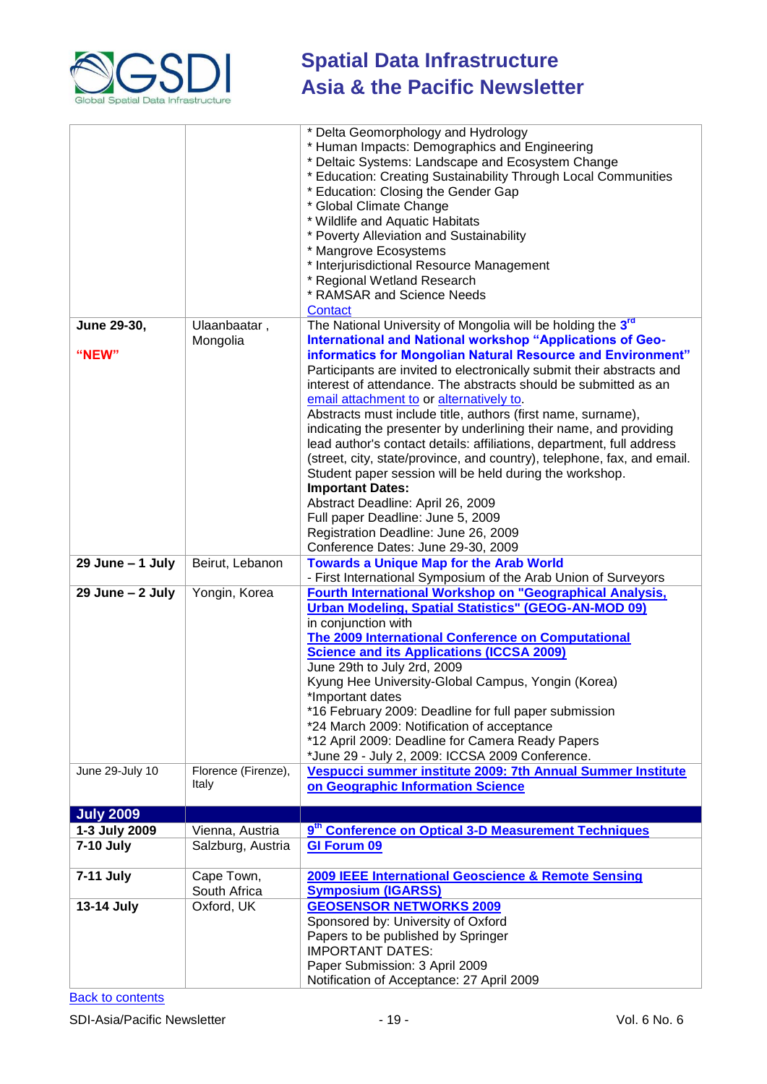

|                     |                     | * Delta Geomorphology and Hydrology                                                                   |
|---------------------|---------------------|-------------------------------------------------------------------------------------------------------|
|                     |                     | * Human Impacts: Demographics and Engineering                                                         |
|                     |                     | * Deltaic Systems: Landscape and Ecosystem Change                                                     |
|                     |                     | * Education: Creating Sustainability Through Local Communities<br>* Education: Closing the Gender Gap |
|                     |                     | * Global Climate Change                                                                               |
|                     |                     | * Wildlife and Aquatic Habitats                                                                       |
|                     |                     | * Poverty Alleviation and Sustainability                                                              |
|                     |                     | * Mangrove Ecosystems                                                                                 |
|                     |                     | * Interjurisdictional Resource Management                                                             |
|                     |                     | * Regional Wetland Research                                                                           |
|                     |                     | * RAMSAR and Science Needs                                                                            |
|                     |                     | Contact                                                                                               |
| June 29-30,         | Ulaanbaatar,        | The National University of Mongolia will be holding the 3rd                                           |
|                     | Mongolia            | International and National workshop "Applications of Geo-                                             |
| "NEW"               |                     | informatics for Mongolian Natural Resource and Environment"                                           |
|                     |                     | Participants are invited to electronically submit their abstracts and                                 |
|                     |                     | interest of attendance. The abstracts should be submitted as an                                       |
|                     |                     | email attachment to or alternatively to.                                                              |
|                     |                     | Abstracts must include title, authors (first name, surname),                                          |
|                     |                     | indicating the presenter by underlining their name, and providing                                     |
|                     |                     | lead author's contact details: affiliations, department, full address                                 |
|                     |                     | (street, city, state/province, and country), telephone, fax, and email.                               |
|                     |                     | Student paper session will be held during the workshop.                                               |
|                     |                     | <b>Important Dates:</b>                                                                               |
|                     |                     | Abstract Deadline: April 26, 2009                                                                     |
|                     |                     | Full paper Deadline: June 5, 2009<br>Registration Deadline: June 26, 2009                             |
|                     |                     | Conference Dates: June 29-30, 2009                                                                    |
| $29$ June $-1$ July | Beirut, Lebanon     | <b>Towards a Unique Map for the Arab World</b>                                                        |
|                     |                     | - First International Symposium of the Arab Union of Surveyors                                        |
| 29 June - 2 July    | Yongin, Korea       | Fourth International Workshop on "Geographical Analysis,                                              |
|                     |                     | <b>Urban Modeling, Spatial Statistics" (GEOG-AN-MOD 09)</b>                                           |
|                     |                     | in conjunction with                                                                                   |
|                     |                     | The 2009 International Conference on Computational                                                    |
|                     |                     | <b>Science and its Applications (ICCSA 2009)</b>                                                      |
|                     |                     | June 29th to July 2rd, 2009                                                                           |
|                     |                     | Kyung Hee University-Global Campus, Yongin (Korea)                                                    |
|                     |                     | *Important dates                                                                                      |
|                     |                     | *16 February 2009: Deadline for full paper submission                                                 |
|                     |                     | *24 March 2009: Notification of acceptance<br>*12 April 2009: Deadline for Camera Ready Papers        |
|                     |                     | *June 29 - July 2, 2009: ICCSA 2009 Conference.                                                       |
| June 29-July 10     | Florence (Firenze), | Vespucci summer institute 2009: 7th Annual Summer Institute                                           |
|                     | Italy               | on Geographic Information Science                                                                     |
|                     |                     |                                                                                                       |
| <b>July 2009</b>    |                     |                                                                                                       |
| 1-3 July 2009       |                     |                                                                                                       |
| 7-10 July           | Vienna, Austria     | 9 <sup>th</sup> Conference on Optical 3-D Measurement Techniques                                      |
|                     | Salzburg, Austria   | <b>GI Forum 09</b>                                                                                    |
|                     |                     |                                                                                                       |
| 7-11 July           | Cape Town,          | 2009 IEEE International Geoscience & Remote Sensing                                                   |
|                     | South Africa        | <b>Symposium (IGARSS)</b>                                                                             |
| 13-14 July          | Oxford, UK          | <b>GEOSENSOR NETWORKS 2009</b>                                                                        |
|                     |                     | Sponsored by: University of Oxford                                                                    |
|                     |                     | Papers to be published by Springer<br><b>IMPORTANT DATES:</b>                                         |
|                     |                     | Paper Submission: 3 April 2009                                                                        |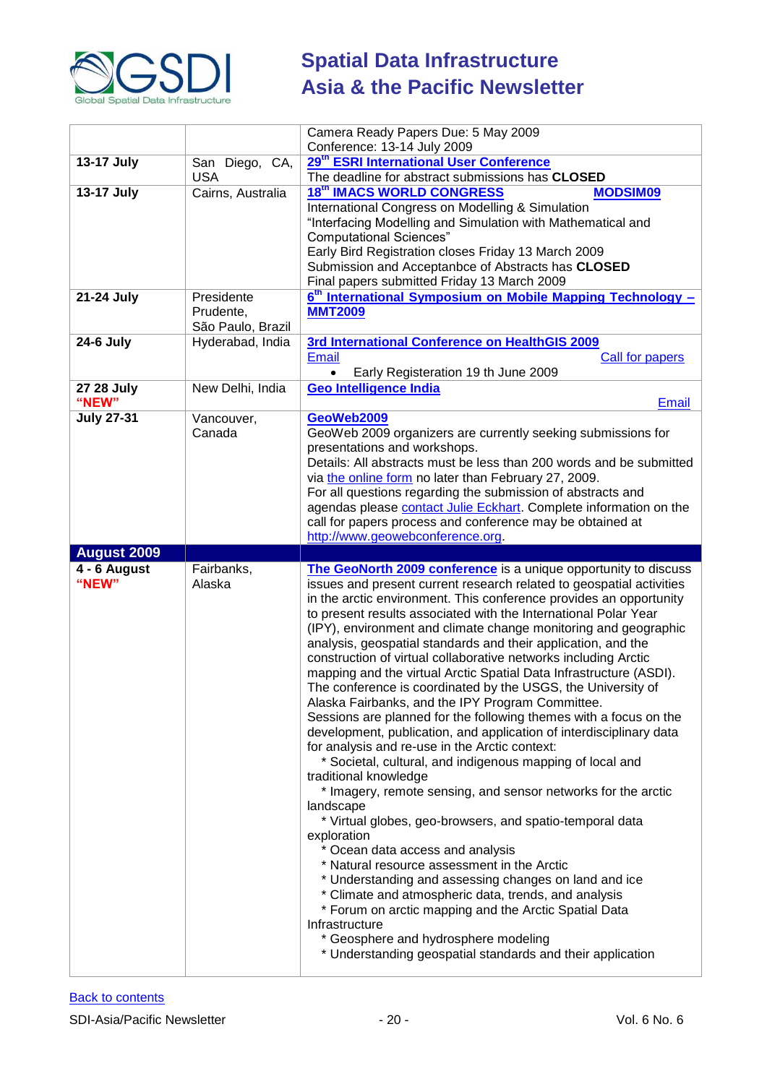

|                     |                                              | Camera Ready Papers Due: 5 May 2009<br>Conference: 13-14 July 2009                                                                                                                                                                                                                                                                                                                                                                                                             |
|---------------------|----------------------------------------------|--------------------------------------------------------------------------------------------------------------------------------------------------------------------------------------------------------------------------------------------------------------------------------------------------------------------------------------------------------------------------------------------------------------------------------------------------------------------------------|
| 13-17 July          | San Diego, CA,                               | 29 <sup>th</sup> ESRI International User Conference                                                                                                                                                                                                                                                                                                                                                                                                                            |
|                     | <b>USA</b>                                   | The deadline for abstract submissions has CLOSED                                                                                                                                                                                                                                                                                                                                                                                                                               |
| <b>13-17 July</b>   | Cairns, Australia                            | <b>18th IMACS WORLD CONGRESS</b><br><b>MODSIM09</b><br>International Congress on Modelling & Simulation<br>"Interfacing Modelling and Simulation with Mathematical and<br><b>Computational Sciences"</b>                                                                                                                                                                                                                                                                       |
|                     |                                              | Early Bird Registration closes Friday 13 March 2009<br>Submission and Acceptanbce of Abstracts has CLOSED<br>Final papers submitted Friday 13 March 2009                                                                                                                                                                                                                                                                                                                       |
| 21-24 July          | Presidente<br>Prudente,<br>São Paulo, Brazil | 6 <sup>th</sup> International Symposium on Mobile Mapping Technology -<br><b>MMT2009</b>                                                                                                                                                                                                                                                                                                                                                                                       |
| <b>24-6 July</b>    | Hyderabad, India                             | 3rd International Conference on HealthGIS 2009<br><b>Email</b><br>Call for papers<br>Early Registeration 19 th June 2009                                                                                                                                                                                                                                                                                                                                                       |
| 27 28 July<br>"NEW" | New Delhi, India                             | <b>Geo Intelligence India</b><br><b>Email</b>                                                                                                                                                                                                                                                                                                                                                                                                                                  |
| <b>July 27-31</b>   | Vancouver,<br>Canada                         | GeoWeb2009<br>GeoWeb 2009 organizers are currently seeking submissions for<br>presentations and workshops.<br>Details: All abstracts must be less than 200 words and be submitted<br>via the online form no later than February 27, 2009.<br>For all questions regarding the submission of abstracts and<br>agendas please contact Julie Eckhart. Complete information on the<br>call for papers process and conference may be obtained at<br>http://www.geowebconference.org. |
| <b>August 2009</b>  |                                              |                                                                                                                                                                                                                                                                                                                                                                                                                                                                                |
| 4 - 6 August        | Fairbanks,                                   | The GeoNorth 2009 conference is a unique opportunity to discuss                                                                                                                                                                                                                                                                                                                                                                                                                |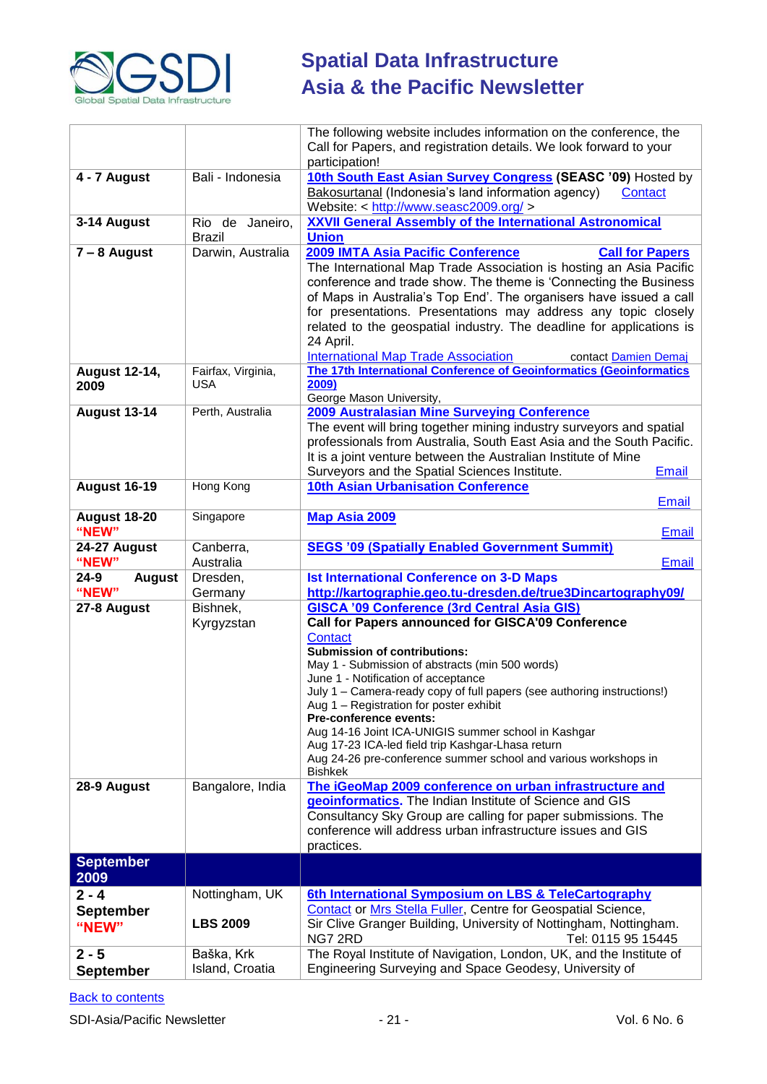

|                             |                               | The following website includes information on the conference, the                                                             |
|-----------------------------|-------------------------------|-------------------------------------------------------------------------------------------------------------------------------|
|                             |                               | Call for Papers, and registration details. We look forward to your                                                            |
|                             |                               | participation!                                                                                                                |
| 4 - 7 August                | Bali - Indonesia              | 10th South East Asian Survey Congress (SEASC '09) Hosted by                                                                   |
|                             |                               | Bakosurtanal (Indonesia's land information agency)<br>Contact                                                                 |
|                             |                               | Website: < http://www.seasc2009.org/ >                                                                                        |
| 3-14 August                 | Rio de Janeiro,               | <b>XXVII General Assembly of the International Astronomical</b>                                                               |
|                             | <b>Brazil</b>                 | <b>Union</b>                                                                                                                  |
| $7 - 8$ August              | Darwin, Australia             | 2009 IMTA Asia Pacific Conference<br><b>Call for Papers</b>                                                                   |
|                             |                               | The International Map Trade Association is hosting an Asia Pacific                                                            |
|                             |                               | conference and trade show. The theme is 'Connecting the Business                                                              |
|                             |                               | of Maps in Australia's Top End'. The organisers have issued a call                                                            |
|                             |                               | for presentations. Presentations may address any topic closely                                                                |
|                             |                               | related to the geospatial industry. The deadline for applications is                                                          |
|                             |                               | 24 April.                                                                                                                     |
|                             |                               | <b>International Map Trade Association</b><br>contact Damien Demai                                                            |
| <b>August 12-14,</b>        | Fairfax, Virginia,            | The 17th International Conference of Geoinformatics (Geoinformatics                                                           |
| 2009                        | USA                           | 2009)<br>George Mason University,                                                                                             |
| <b>August 13-14</b>         | Perth, Australia              | 2009 Australasian Mine Surveying Conference                                                                                   |
|                             |                               | The event will bring together mining industry surveyors and spatial                                                           |
|                             |                               | professionals from Australia, South East Asia and the South Pacific.                                                          |
|                             |                               | It is a joint venture between the Australian Institute of Mine                                                                |
|                             |                               | Surveyors and the Spatial Sciences Institute.<br>Email                                                                        |
| <b>August 16-19</b>         | Hong Kong                     | <b>10th Asian Urbanisation Conference</b>                                                                                     |
|                             |                               | Email                                                                                                                         |
| <b>August 18-20</b>         | Singapore                     | Map Asia 2009                                                                                                                 |
| "NEW"                       |                               | Email                                                                                                                         |
| 24-27 August                | Canberra,                     | <b>SEGS '09 (Spatially Enabled Government Summit)</b>                                                                         |
| "NEW"                       | Australia                     | Email                                                                                                                         |
| $24 - 9$<br><b>August</b>   | Dresden,                      | <b>Ist International Conference on 3-D Maps</b>                                                                               |
|                             |                               |                                                                                                                               |
| "NEW"                       |                               |                                                                                                                               |
| 27-8 August                 | Germany<br>Bishnek,           | http://kartographie.geo.tu-dresden.de/true3Dincartography09/<br><b>GISCA '09 Conference (3rd Central Asia GIS)</b>            |
|                             | Kyrgyzstan                    | Call for Papers announced for GISCA'09 Conference                                                                             |
|                             |                               | Contact                                                                                                                       |
|                             |                               | <b>Submission of contributions:</b>                                                                                           |
|                             |                               | May 1 - Submission of abstracts (min 500 words)                                                                               |
|                             |                               | June 1 - Notification of acceptance                                                                                           |
|                             |                               | July 1 - Camera-ready copy of full papers (see authoring instructions!)                                                       |
|                             |                               | Aug 1 – Registration for poster exhibit<br><b>Pre-conference events:</b>                                                      |
|                             |                               | Aug 14-16 Joint ICA-UNIGIS summer school in Kashgar                                                                           |
|                             |                               | Aug 17-23 ICA-led field trip Kashgar-Lhasa return                                                                             |
|                             |                               | Aug 24-26 pre-conference summer school and various workshops in                                                               |
|                             |                               | <b>Bishkek</b>                                                                                                                |
| 28-9 August                 | Bangalore, India              | The iGeoMap 2009 conference on urban infrastructure and                                                                       |
|                             |                               | geoinformatics. The Indian Institute of Science and GIS                                                                       |
|                             |                               | Consultancy Sky Group are calling for paper submissions. The                                                                  |
|                             |                               | conference will address urban infrastructure issues and GIS                                                                   |
|                             |                               | practices.                                                                                                                    |
| <b>September</b>            |                               |                                                                                                                               |
| 2009                        |                               |                                                                                                                               |
| $2 - 4$                     | Nottingham, UK                | 6th International Symposium on LBS & TeleCartography                                                                          |
| <b>September</b>            |                               | Contact or Mrs Stella Fuller, Centre for Geospatial Science,                                                                  |
| "NEW"                       | <b>LBS 2009</b>               | Sir Clive Granger Building, University of Nottingham, Nottingham.                                                             |
|                             |                               | NG7 2RD<br>Tel: 0115 95 15445                                                                                                 |
| $2 - 5$<br><b>September</b> | Baška, Krk<br>Island, Croatia | The Royal Institute of Navigation, London, UK, and the Institute of<br>Engineering Surveying and Space Geodesy, University of |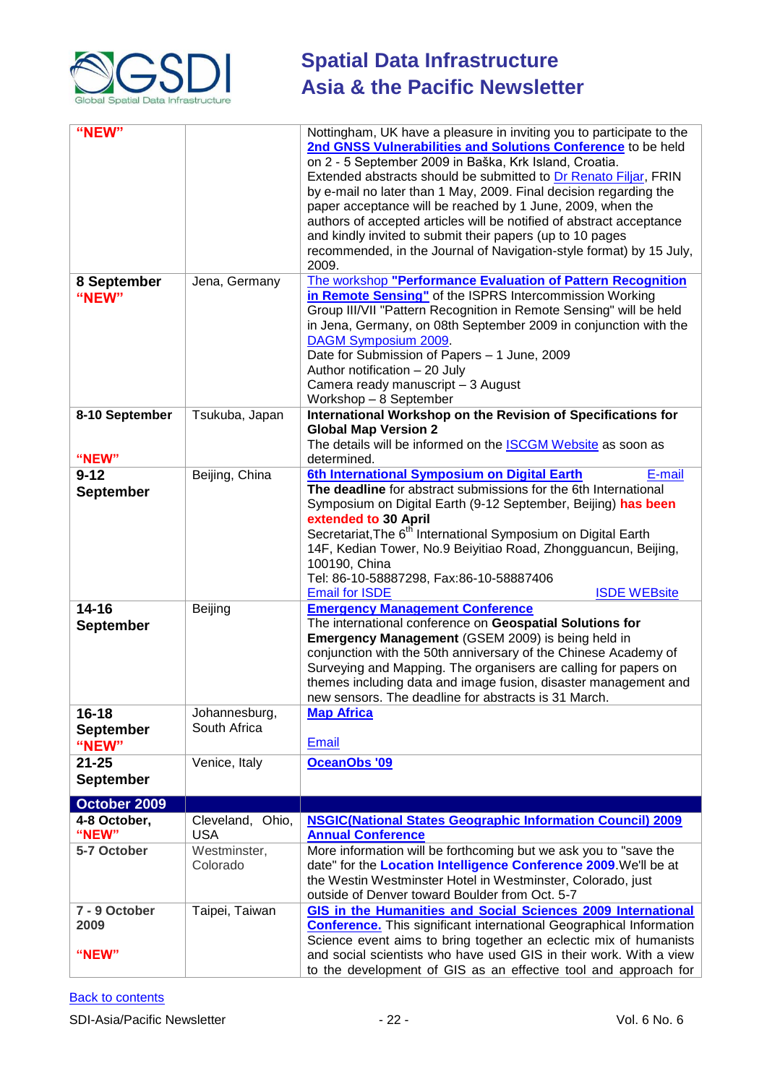

| "NEW"<br>8 September<br>"NEW" | Jena, Germany              | Nottingham, UK have a pleasure in inviting you to participate to the<br>2nd GNSS Vulnerabilities and Solutions Conference to be held<br>on 2 - 5 September 2009 in Baška, Krk Island, Croatia.<br>Extended abstracts should be submitted to Dr Renato Filjar, FRIN<br>by e-mail no later than 1 May, 2009. Final decision regarding the<br>paper acceptance will be reached by 1 June, 2009, when the<br>authors of accepted articles will be notified of abstract acceptance<br>and kindly invited to submit their papers (up to 10 pages<br>recommended, in the Journal of Navigation-style format) by 15 July,<br>2009.<br>The workshop "Performance Evaluation of Pattern Recognition<br>in Remote Sensing" of the ISPRS Intercommission Working<br>Group III/VII "Pattern Recognition in Remote Sensing" will be held<br>in Jena, Germany, on 08th September 2009 in conjunction with the<br>DAGM Symposium 2009.<br>Date for Submission of Papers - 1 June, 2009<br>Author notification - 20 July<br>Camera ready manuscript - 3 August<br>Workshop - 8 September |
|-------------------------------|----------------------------|-------------------------------------------------------------------------------------------------------------------------------------------------------------------------------------------------------------------------------------------------------------------------------------------------------------------------------------------------------------------------------------------------------------------------------------------------------------------------------------------------------------------------------------------------------------------------------------------------------------------------------------------------------------------------------------------------------------------------------------------------------------------------------------------------------------------------------------------------------------------------------------------------------------------------------------------------------------------------------------------------------------------------------------------------------------------------|
|                               |                            |                                                                                                                                                                                                                                                                                                                                                                                                                                                                                                                                                                                                                                                                                                                                                                                                                                                                                                                                                                                                                                                                         |
| 8-10 September<br>"NEW"       | Tsukuba, Japan             | International Workshop on the Revision of Specifications for<br><b>Global Map Version 2</b><br>The details will be informed on the <b>ISCGM Website</b> as soon as<br>determined.                                                                                                                                                                                                                                                                                                                                                                                                                                                                                                                                                                                                                                                                                                                                                                                                                                                                                       |
| $9 - 12$                      | Beijing, China             | 6th International Symposium on Digital Earth<br>E-mail                                                                                                                                                                                                                                                                                                                                                                                                                                                                                                                                                                                                                                                                                                                                                                                                                                                                                                                                                                                                                  |
|                               |                            | The deadline for abstract submissions for the 6th International                                                                                                                                                                                                                                                                                                                                                                                                                                                                                                                                                                                                                                                                                                                                                                                                                                                                                                                                                                                                         |
| <b>September</b>              |                            | Symposium on Digital Earth (9-12 September, Beijing) has been<br>extended to 30 April<br>Secretariat, The 6 <sup>th</sup> International Symposium on Digital Earth<br>14F, Kedian Tower, No.9 Beiyitiao Road, Zhongguancun, Beijing,<br>100190, China<br>Tel: 86-10-58887298, Fax:86-10-58887406<br><b>Email for ISDE</b><br><b>ISDE WEBsite</b>                                                                                                                                                                                                                                                                                                                                                                                                                                                                                                                                                                                                                                                                                                                        |
| $14 - 16$                     | Beijing                    | <b>Emergency Management Conference</b>                                                                                                                                                                                                                                                                                                                                                                                                                                                                                                                                                                                                                                                                                                                                                                                                                                                                                                                                                                                                                                  |
| <b>September</b>              |                            | The international conference on Geospatial Solutions for<br><b>Emergency Management (GSEM 2009) is being held in</b><br>conjunction with the 50th anniversary of the Chinese Academy of<br>Surveying and Mapping. The organisers are calling for papers on<br>themes including data and image fusion, disaster management and<br>new sensors. The deadline for abstracts is 31 March.                                                                                                                                                                                                                                                                                                                                                                                                                                                                                                                                                                                                                                                                                   |
| $16 - 18$                     | Johannesburg,              | <b>Map Africa</b>                                                                                                                                                                                                                                                                                                                                                                                                                                                                                                                                                                                                                                                                                                                                                                                                                                                                                                                                                                                                                                                       |
| <b>September</b><br>"NEW"     | South Africa               | <b>Email</b>                                                                                                                                                                                                                                                                                                                                                                                                                                                                                                                                                                                                                                                                                                                                                                                                                                                                                                                                                                                                                                                            |
| $21 - 25$<br><b>September</b> | Venice, Italy              | <b>OceanObs '09</b>                                                                                                                                                                                                                                                                                                                                                                                                                                                                                                                                                                                                                                                                                                                                                                                                                                                                                                                                                                                                                                                     |
|                               |                            |                                                                                                                                                                                                                                                                                                                                                                                                                                                                                                                                                                                                                                                                                                                                                                                                                                                                                                                                                                                                                                                                         |
| October 2009                  |                            |                                                                                                                                                                                                                                                                                                                                                                                                                                                                                                                                                                                                                                                                                                                                                                                                                                                                                                                                                                                                                                                                         |
| 4-8 October,                  | Cleveland, Ohio,           | <b>NSGIC(National States Geographic Information Council) 2009</b>                                                                                                                                                                                                                                                                                                                                                                                                                                                                                                                                                                                                                                                                                                                                                                                                                                                                                                                                                                                                       |
| "NEW"<br>5-7 October          | <b>USA</b><br>Westminster, | <b>Annual Conference</b><br>More information will be forthcoming but we ask you to "save the                                                                                                                                                                                                                                                                                                                                                                                                                                                                                                                                                                                                                                                                                                                                                                                                                                                                                                                                                                            |
|                               | Colorado                   | date" for the Location Intelligence Conference 2009. We'll be at<br>the Westin Westminster Hotel in Westminster, Colorado, just                                                                                                                                                                                                                                                                                                                                                                                                                                                                                                                                                                                                                                                                                                                                                                                                                                                                                                                                         |
|                               |                            | outside of Denver toward Boulder from Oct. 5-7                                                                                                                                                                                                                                                                                                                                                                                                                                                                                                                                                                                                                                                                                                                                                                                                                                                                                                                                                                                                                          |
| 7 - 9 October                 | Taipei, Taiwan             | GIS in the Humanities and Social Sciences 2009 International                                                                                                                                                                                                                                                                                                                                                                                                                                                                                                                                                                                                                                                                                                                                                                                                                                                                                                                                                                                                            |
| 2009                          |                            | <b>Conference.</b> This significant international Geographical Information                                                                                                                                                                                                                                                                                                                                                                                                                                                                                                                                                                                                                                                                                                                                                                                                                                                                                                                                                                                              |
|                               |                            | Science event aims to bring together an eclectic mix of humanists                                                                                                                                                                                                                                                                                                                                                                                                                                                                                                                                                                                                                                                                                                                                                                                                                                                                                                                                                                                                       |
| "NEW"                         |                            | and social scientists who have used GIS in their work. With a view<br>to the development of GIS as an effective tool and approach for                                                                                                                                                                                                                                                                                                                                                                                                                                                                                                                                                                                                                                                                                                                                                                                                                                                                                                                                   |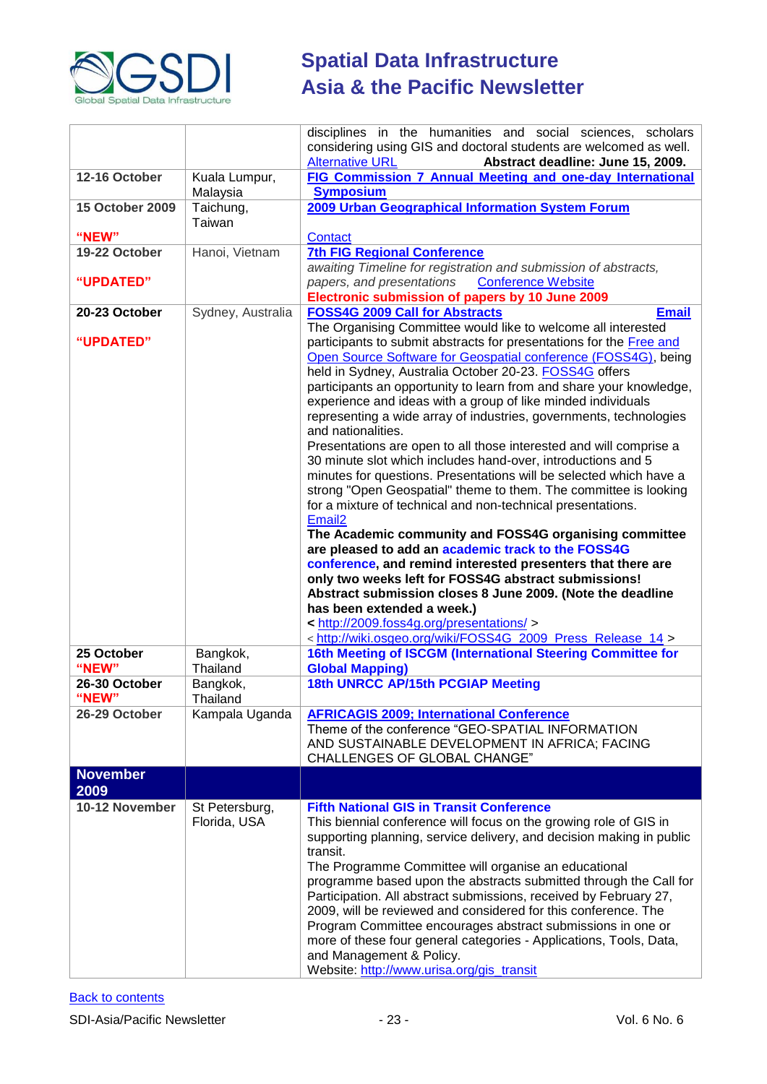

|                         |                                | disciplines in the humanities and social sciences, scholars<br>considering using GIS and doctoral students are welcomed as well.<br><b>Alternative URL</b><br>Abstract deadline: June 15, 2009.                                                                                                                                                                                                                                                                                                                                                                                                                                                                                                                                                                                                                                                                                                                                                                                                                                                                                                                                                                                                                                                                      |
|-------------------------|--------------------------------|----------------------------------------------------------------------------------------------------------------------------------------------------------------------------------------------------------------------------------------------------------------------------------------------------------------------------------------------------------------------------------------------------------------------------------------------------------------------------------------------------------------------------------------------------------------------------------------------------------------------------------------------------------------------------------------------------------------------------------------------------------------------------------------------------------------------------------------------------------------------------------------------------------------------------------------------------------------------------------------------------------------------------------------------------------------------------------------------------------------------------------------------------------------------------------------------------------------------------------------------------------------------|
| 12-16 October           | Kuala Lumpur,<br>Malaysia      | FIG Commission 7 Annual Meeting and one-day International<br><b>Symposium</b>                                                                                                                                                                                                                                                                                                                                                                                                                                                                                                                                                                                                                                                                                                                                                                                                                                                                                                                                                                                                                                                                                                                                                                                        |
| <b>15 October 2009</b>  | Taichung,<br>Taiwan            | 2009 Urban Geographical Information System Forum                                                                                                                                                                                                                                                                                                                                                                                                                                                                                                                                                                                                                                                                                                                                                                                                                                                                                                                                                                                                                                                                                                                                                                                                                     |
| "NEW"                   |                                | Contact                                                                                                                                                                                                                                                                                                                                                                                                                                                                                                                                                                                                                                                                                                                                                                                                                                                                                                                                                                                                                                                                                                                                                                                                                                                              |
| 19-22 October           | Hanoi, Vietnam                 | <b>7th FIG Regional Conference</b><br>awaiting Timeline for registration and submission of abstracts,                                                                                                                                                                                                                                                                                                                                                                                                                                                                                                                                                                                                                                                                                                                                                                                                                                                                                                                                                                                                                                                                                                                                                                |
| "UPDATED"               |                                | papers, and presentations Conference Website<br>Electronic submission of papers by 10 June 2009                                                                                                                                                                                                                                                                                                                                                                                                                                                                                                                                                                                                                                                                                                                                                                                                                                                                                                                                                                                                                                                                                                                                                                      |
| 20-23 October           | Sydney, Australia              | <b>FOSS4G 2009 Call for Abstracts</b><br><b>Email</b><br>The Organising Committee would like to welcome all interested                                                                                                                                                                                                                                                                                                                                                                                                                                                                                                                                                                                                                                                                                                                                                                                                                                                                                                                                                                                                                                                                                                                                               |
| "UPDATED"               |                                | participants to submit abstracts for presentations for the Free and<br>Open Source Software for Geospatial conference (FOSS4G), being<br>held in Sydney, Australia October 20-23. FOSS4G offers<br>participants an opportunity to learn from and share your knowledge,<br>experience and ideas with a group of like minded individuals<br>representing a wide array of industries, governments, technologies<br>and nationalities.<br>Presentations are open to all those interested and will comprise a<br>30 minute slot which includes hand-over, introductions and 5<br>minutes for questions. Presentations will be selected which have a<br>strong "Open Geospatial" theme to them. The committee is looking<br>for a mixture of technical and non-technical presentations.<br>Email <sub>2</sub><br>The Academic community and FOSS4G organising committee<br>are pleased to add an academic track to the FOSS4G<br>conference, and remind interested presenters that there are<br>only two weeks left for FOSS4G abstract submissions!<br>Abstract submission closes 8 June 2009. (Note the deadline<br>has been extended a week.)<br>< http://2009.foss4g.org/presentations/ ><br><http: foss4g_2009_press_release_14="" wiki="" wiki.osgeo.org=""></http:> |
| 25 October<br>"NEW"     | Bangkok,<br>Thailand           | 16th Meeting of ISCGM (International Steering Committee for<br><b>Global Mapping)</b>                                                                                                                                                                                                                                                                                                                                                                                                                                                                                                                                                                                                                                                                                                                                                                                                                                                                                                                                                                                                                                                                                                                                                                                |
| 26-30 October           | Bangkok,                       | 18th UNRCC AP/15th PCGIAP Meeting                                                                                                                                                                                                                                                                                                                                                                                                                                                                                                                                                                                                                                                                                                                                                                                                                                                                                                                                                                                                                                                                                                                                                                                                                                    |
| "NEW"                   | Thailand                       |                                                                                                                                                                                                                                                                                                                                                                                                                                                                                                                                                                                                                                                                                                                                                                                                                                                                                                                                                                                                                                                                                                                                                                                                                                                                      |
| 26-29 October           | Kampala Uganda                 | <b>AFRICAGIS 2009; International Conference</b><br>Theme of the conference "GEO-SPATIAL INFORMATION<br>AND SUSTAINABLE DEVELOPMENT IN AFRICA; FACING<br><b>CHALLENGES OF GLOBAL CHANGE"</b>                                                                                                                                                                                                                                                                                                                                                                                                                                                                                                                                                                                                                                                                                                                                                                                                                                                                                                                                                                                                                                                                          |
| <b>November</b><br>2009 |                                |                                                                                                                                                                                                                                                                                                                                                                                                                                                                                                                                                                                                                                                                                                                                                                                                                                                                                                                                                                                                                                                                                                                                                                                                                                                                      |
| 10-12 November          | St Petersburg,<br>Florida, USA | <b>Fifth National GIS in Transit Conference</b><br>This biennial conference will focus on the growing role of GIS in<br>supporting planning, service delivery, and decision making in public<br>transit.<br>The Programme Committee will organise an educational<br>programme based upon the abstracts submitted through the Call for<br>Participation. All abstract submissions, received by February 27,<br>2009, will be reviewed and considered for this conference. The<br>Program Committee encourages abstract submissions in one or<br>more of these four general categories - Applications, Tools, Data,<br>and Management & Policy.<br>Website: http://www.urisa.org/gis_transit                                                                                                                                                                                                                                                                                                                                                                                                                                                                                                                                                                           |